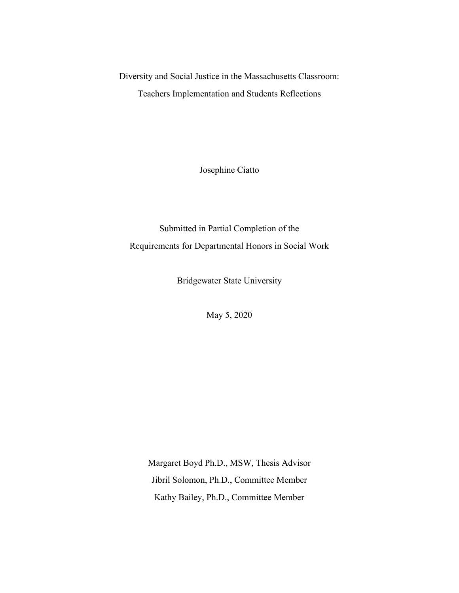Diversity and Social Justice in the Massachusetts Classroom: Teachers Implementation and Students Reflections

Josephine Ciatto

Submitted in Partial Completion of the Requirements for Departmental Honors in Social Work

Bridgewater State University

May 5, 2020

Margaret Boyd Ph.D., MSW, Thesis Advisor Jibril Solomon, Ph.D., Committee Member Kathy Bailey, Ph.D., Committee Member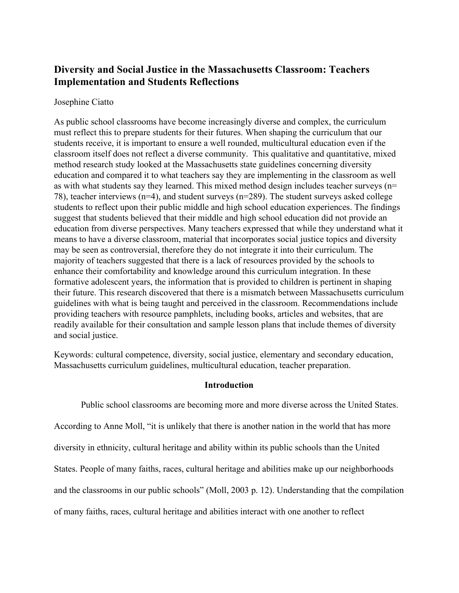# **Diversity and Social Justice in the Massachusetts Classroom: Teachers Implementation and Students Reflections**

### Josephine Ciatto

As public school classrooms have become increasingly diverse and complex, the curriculum must reflect this to prepare students for their futures. When shaping the curriculum that our students receive, it is important to ensure a well rounded, multicultural education even if the classroom itself does not reflect a diverse community. This qualitative and quantitative, mixed method research study looked at the Massachusetts state guidelines concerning diversity education and compared it to what teachers say they are implementing in the classroom as well as with what students say they learned. This mixed method design includes teacher surveys (n= 78), teacher interviews (n=4), and student surveys (n=289). The student surveys asked college students to reflect upon their public middle and high school education experiences. The findings suggest that students believed that their middle and high school education did not provide an education from diverse perspectives. Many teachers expressed that while they understand what it means to have a diverse classroom, material that incorporates social justice topics and diversity may be seen as controversial, therefore they do not integrate it into their curriculum. The majority of teachers suggested that there is a lack of resources provided by the schools to enhance their comfortability and knowledge around this curriculum integration. In these formative adolescent years, the information that is provided to children is pertinent in shaping their future. This research discovered that there is a mismatch between Massachusetts curriculum guidelines with what is being taught and perceived in the classroom. Recommendations include providing teachers with resource pamphlets, including books, articles and websites, that are readily available for their consultation and sample lesson plans that include themes of diversity and social justice.

Keywords: cultural competence, diversity, social justice, elementary and secondary education, Massachusetts curriculum guidelines, multicultural education, teacher preparation.

## **Introduction**

Public school classrooms are becoming more and more diverse across the United States. According to Anne Moll, "it is unlikely that there is another nation in the world that has more diversity in ethnicity, cultural heritage and ability within its public schools than the United States. People of many faiths, races, cultural heritage and abilities make up our neighborhoods

and the classrooms in our public schools" (Moll, 2003 p. 12). Understanding that the compilation

of many faiths, races, cultural heritage and abilities interact with one another to reflect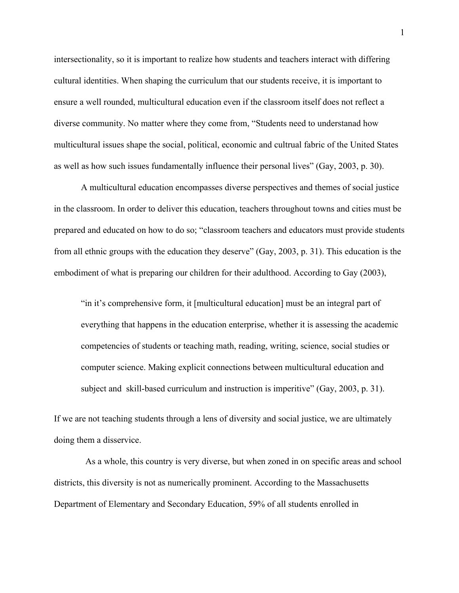intersectionality, so it is important to realize how students and teachers interact with differing cultural identities. When shaping the curriculum that our students receive, it is important to ensure a well rounded, multicultural education even if the classroom itself does not reflect a diverse community. No matter where they come from, "Students need to understanad how multicultural issues shape the social, political, economic and cultrual fabric of the United States as well as how such issues fundamentally influence their personal lives" (Gay, 2003, p. 30).

A multicultural education encompasses diverse perspectives and themes of social justice in the classroom. In order to deliver this education, teachers throughout towns and cities must be prepared and educated on how to do so; "classroom teachers and educators must provide students from all ethnic groups with the education they deserve" (Gay, 2003, p. 31). This education is the embodiment of what is preparing our children for their adulthood. According to Gay (2003),

"in it's comprehensive form, it [multicultural education] must be an integral part of everything that happens in the education enterprise, whether it is assessing the academic competencies of students or teaching math, reading, writing, science, social studies or computer science. Making explicit connections between multicultural education and subject and skill-based curriculum and instruction is imperitive" (Gay, 2003, p. 31).

If we are not teaching students through a lens of diversity and social justice, we are ultimately doing them a disservice.

 As a whole, this country is very diverse, but when zoned in on specific areas and school districts, this diversity is not as numerically prominent. According to the Massachusetts Department of Elementary and Secondary Education, 59% of all students enrolled in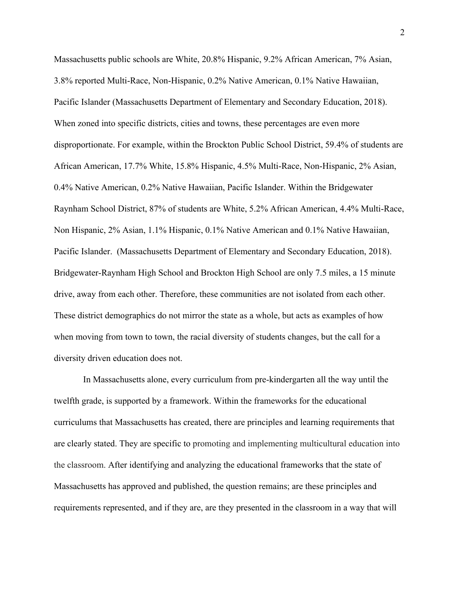Massachusetts public schools are White, 20.8% Hispanic, 9.2% African American, 7% Asian, 3.8% reported Multi-Race, Non-Hispanic, 0.2% Native American, 0.1% Native Hawaiian, Pacific Islander (Massachusetts Department of Elementary and Secondary Education, 2018). When zoned into specific districts, cities and towns, these percentages are even more disproportionate. For example, within the Brockton Public School District, 59.4% of students are African American, 17.7% White, 15.8% Hispanic, 4.5% Multi-Race, Non-Hispanic, 2% Asian, 0.4% Native American, 0.2% Native Hawaiian, Pacific Islander. Within the Bridgewater Raynham School District, 87% of students are White, 5.2% African American, 4.4% Multi-Race, Non Hispanic, 2% Asian, 1.1% Hispanic, 0.1% Native American and 0.1% Native Hawaiian, Pacific Islander. (Massachusetts Department of Elementary and Secondary Education, 2018). Bridgewater-Raynham High School and Brockton High School are only 7.5 miles, a 15 minute drive, away from each other. Therefore, these communities are not isolated from each other. These district demographics do not mirror the state as a whole, but acts as examples of how when moving from town to town, the racial diversity of students changes, but the call for a diversity driven education does not.

 In Massachusetts alone, every curriculum from pre-kindergarten all the way until the twelfth grade, is supported by a framework. Within the frameworks for the educational curriculums that Massachusetts has created, there are principles and learning requirements that are clearly stated. They are specific to promoting and implementing multicultural education into the classroom. After identifying and analyzing the educational frameworks that the state of Massachusetts has approved and published, the question remains; are these principles and requirements represented, and if they are, are they presented in the classroom in a way that will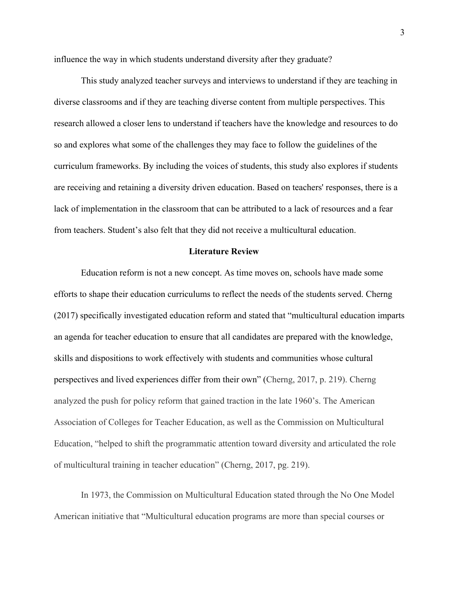influence the way in which students understand diversity after they graduate?

This study analyzed teacher surveys and interviews to understand if they are teaching in diverse classrooms and if they are teaching diverse content from multiple perspectives. This research allowed a closer lens to understand if teachers have the knowledge and resources to do so and explores what some of the challenges they may face to follow the guidelines of the curriculum frameworks. By including the voices of students, this study also explores if students are receiving and retaining a diversity driven education. Based on teachers' responses, there is a lack of implementation in the classroom that can be attributed to a lack of resources and a fear from teachers. Student's also felt that they did not receive a multicultural education.

#### **Literature Review**

Education reform is not a new concept. As time moves on, schools have made some efforts to shape their education curriculums to reflect the needs of the students served. Cherng (2017) specifically investigated education reform and stated that "multicultural education imparts an agenda for teacher education to ensure that all candidates are prepared with the knowledge, skills and dispositions to work effectively with students and communities whose cultural perspectives and lived experiences differ from their own" (Cherng, 2017, p. 219). Cherng analyzed the push for policy reform that gained traction in the late 1960's. The American Association of Colleges for Teacher Education, as well as the Commission on Multicultural Education, "helped to shift the programmatic attention toward diversity and articulated the role of multicultural training in teacher education" (Cherng, 2017, pg. 219).

In 1973, the Commission on Multicultural Education stated through the No One Model American initiative that "Multicultural education programs are more than special courses or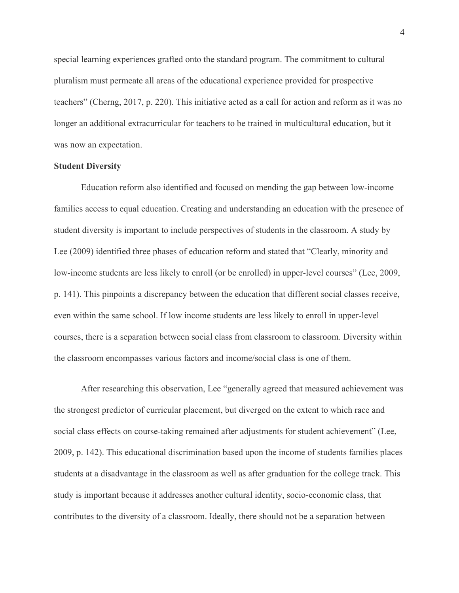special learning experiences grafted onto the standard program. The commitment to cultural pluralism must permeate all areas of the educational experience provided for prospective teachers" (Cherng, 2017, p. 220). This initiative acted as a call for action and reform as it was no longer an additional extracurricular for teachers to be trained in multicultural education, but it was now an expectation.

#### **Student Diversity**

Education reform also identified and focused on mending the gap between low-income families access to equal education. Creating and understanding an education with the presence of student diversity is important to include perspectives of students in the classroom. A study by Lee (2009) identified three phases of education reform and stated that "Clearly, minority and low-income students are less likely to enroll (or be enrolled) in upper-level courses" (Lee, 2009, p. 141). This pinpoints a discrepancy between the education that different social classes receive, even within the same school. If low income students are less likely to enroll in upper-level courses, there is a separation between social class from classroom to classroom. Diversity within the classroom encompasses various factors and income/social class is one of them.

After researching this observation, Lee "generally agreed that measured achievement was the strongest predictor of curricular placement, but diverged on the extent to which race and social class effects on course-taking remained after adjustments for student achievement" (Lee, 2009, p. 142). This educational discrimination based upon the income of students families places students at a disadvantage in the classroom as well as after graduation for the college track. This study is important because it addresses another cultural identity, socio-economic class, that contributes to the diversity of a classroom. Ideally, there should not be a separation between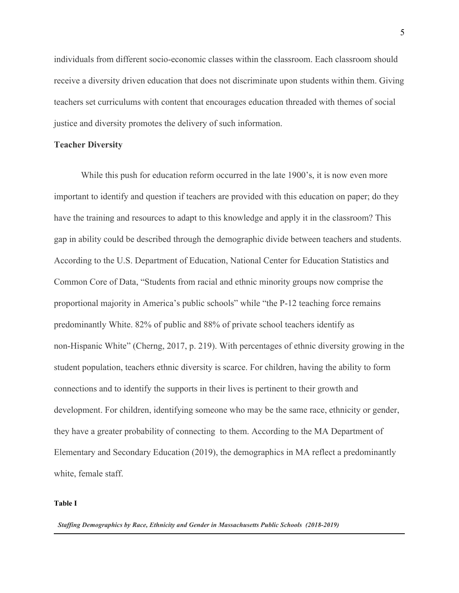individuals from different socio-economic classes within the classroom. Each classroom should receive a diversity driven education that does not discriminate upon students within them. Giving teachers set curriculums with content that encourages education threaded with themes of social justice and diversity promotes the delivery of such information.

#### **Teacher Diversity**

While this push for education reform occurred in the late 1900's, it is now even more important to identify and question if teachers are provided with this education on paper; do they have the training and resources to adapt to this knowledge and apply it in the classroom? This gap in ability could be described through the demographic divide between teachers and students. According to the U.S. Department of Education, National Center for Education Statistics and Common Core of Data, "Students from racial and ethnic minority groups now comprise the proportional majority in America's public schools" while "the P-12 teaching force remains predominantly White. 82% of public and 88% of private school teachers identify as non-Hispanic White" (Cherng, 2017, p. 219). With percentages of ethnic diversity growing in the student population, teachers ethnic diversity is scarce. For children, having the ability to form connections and to identify the supports in their lives is pertinent to their growth and development. For children, identifying someone who may be the same race, ethnicity or gender, they have a greater probability of connecting to them. According to the MA Department of Elementary and Secondary Education (2019), the demographics in MA reflect a predominantly white, female staff.

#### **Table I**

*Staffing Demographics by Race, Ethnicity and Gender in Massachusetts Public Schools (2018-2019)*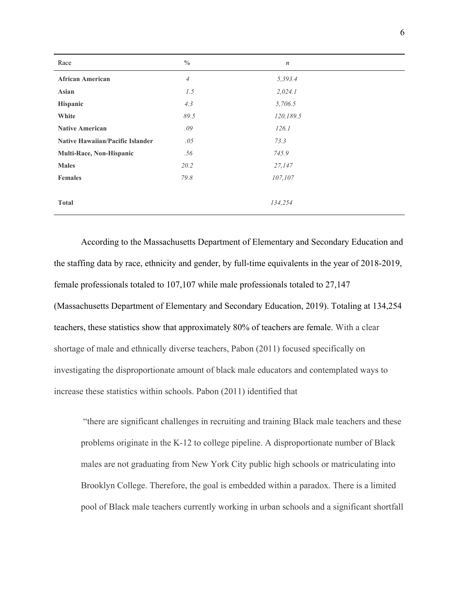| Race                                    | $\frac{0}{0}$              | $\boldsymbol{n}$ |  |
|-----------------------------------------|----------------------------|------------------|--|
| <b>African American</b>                 | $\ensuremath{\mathcal{A}}$ | 5,393.4          |  |
| Asian                                   | 1.5                        | 2,024.1          |  |
| Hispanic                                | 4.3                        | 5,706.5          |  |
| White                                   | 89.5                       | 120,189.5        |  |
| <b>Native American</b>                  | .09                        | 126.1            |  |
| <b>Native Hawaiian/Pacific Islander</b> | .05                        | 73.3             |  |
| Multi-Race, Non-Hispanic                | .56                        | 745.9            |  |
| <b>Males</b>                            | 20.2                       | 27,147           |  |
| <b>Females</b>                          | 79.8                       | 107,107          |  |
|                                         |                            |                  |  |
| <b>Total</b>                            |                            | 134,254          |  |
|                                         |                            |                  |  |

According to the Massachusetts Department of Elementary and Secondary Education and the staffing data by race, ethnicity and gender, by full-time equivalents in the year of 2018-2019, female professionals totaled to 107,107 while male professionals totaled to 27,147 (Massachusetts Department of Elementary and Secondary Education, 2019). Totaling at 134,254 teachers, these statistics show that approximately 80% of teachers are female. With a clear shortage of male and ethnically diverse teachers, Pabon (2011) focused specifically on investigating the disproportionate amount of black male educators and contemplated ways to increase these statistics within schools. Pabon (2011) identified that

 "there are significant challenges in recruiting and training Black male teachers and these problems originate in the K-12 to college pipeline. A disproportionate number of Black males are not graduating from New York City public high schools or matriculating into Brooklyn College. Therefore, the goal is embedded within a paradox. There is a limited pool of Black male teachers currently working in urban schools and a significant shortfall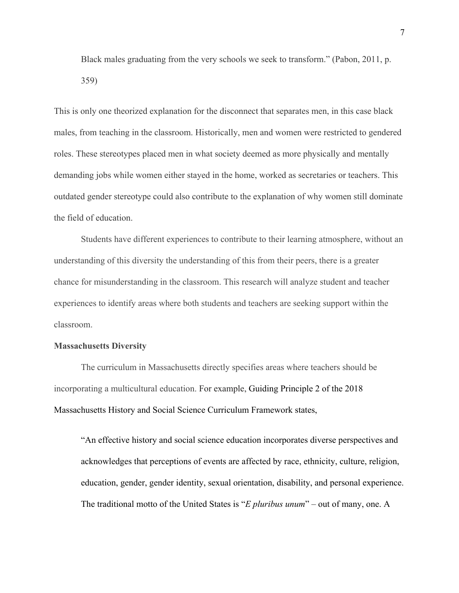Black males graduating from the very schools we seek to transform." (Pabon, 2011, p. 359)

This is only one theorized explanation for the disconnect that separates men, in this case black males, from teaching in the classroom. Historically, men and women were restricted to gendered roles. These stereotypes placed men in what society deemed as more physically and mentally demanding jobs while women either stayed in the home, worked as secretaries or teachers. This outdated gender stereotype could also contribute to the explanation of why women still dominate the field of education.

Students have different experiences to contribute to their learning atmosphere, without an understanding of this diversity the understanding of this from their peers, there is a greater chance for misunderstanding in the classroom. This research will analyze student and teacher experiences to identify areas where both students and teachers are seeking support within the classroom.

#### **Massachusetts Diversity**

The curriculum in Massachusetts directly specifies areas where teachers should be incorporating a multicultural education. For example, Guiding Principle 2 of the 2018 Massachusetts History and Social Science Curriculum Framework states,

"An effective history and social science education incorporates diverse perspectives and acknowledges that perceptions of events are affected by race, ethnicity, culture, religion, education, gender, gender identity, sexual orientation, disability, and personal experience. The traditional motto of the United States is "*E pluribus unum*" – out of many, one. A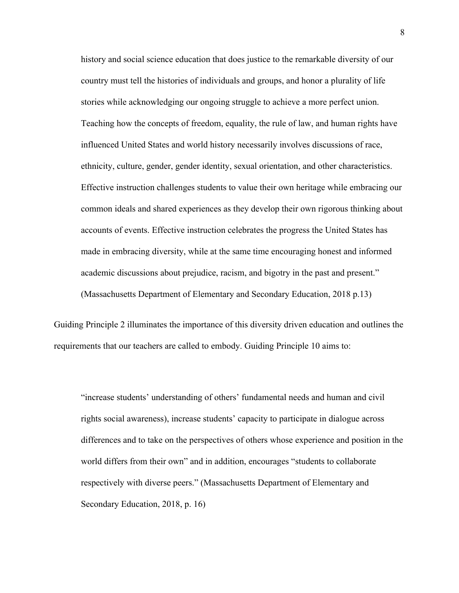history and social science education that does justice to the remarkable diversity of our country must tell the histories of individuals and groups, and honor a plurality of life stories while acknowledging our ongoing struggle to achieve a more perfect union. Teaching how the concepts of freedom, equality, the rule of law, and human rights have influenced United States and world history necessarily involves discussions of race, ethnicity, culture, gender, gender identity, sexual orientation, and other characteristics. Effective instruction challenges students to value their own heritage while embracing our common ideals and shared experiences as they develop their own rigorous thinking about accounts of events. Effective instruction celebrates the progress the United States has made in embracing diversity, while at the same time encouraging honest and informed academic discussions about prejudice, racism, and bigotry in the past and present." (Massachusetts Department of Elementary and Secondary Education, 2018 p.13)

Guiding Principle 2 illuminates the importance of this diversity driven education and outlines the requirements that our teachers are called to embody. Guiding Principle 10 aims to:

"increase students' understanding of others' fundamental needs and human and civil rights social awareness), increase students' capacity to participate in dialogue across differences and to take on the perspectives of others whose experience and position in the world differs from their own" and in addition, encourages "students to collaborate respectively with diverse peers." (Massachusetts Department of Elementary and Secondary Education, 2018, p. 16)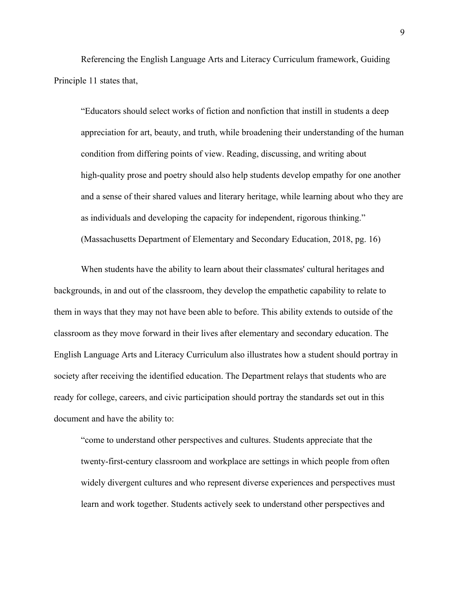Referencing the English Language Arts and Literacy Curriculum framework, Guiding Principle 11 states that,

"Educators should select works of fiction and nonfiction that instill in students a deep appreciation for art, beauty, and truth, while broadening their understanding of the human condition from differing points of view. Reading, discussing, and writing about high-quality prose and poetry should also help students develop empathy for one another and a sense of their shared values and literary heritage, while learning about who they are as individuals and developing the capacity for independent, rigorous thinking." (Massachusetts Department of Elementary and Secondary Education, 2018, pg. 16)

When students have the ability to learn about their classmates' cultural heritages and backgrounds, in and out of the classroom, they develop the empathetic capability to relate to them in ways that they may not have been able to before. This ability extends to outside of the classroom as they move forward in their lives after elementary and secondary education. The English Language Arts and Literacy Curriculum also illustrates how a student should portray in society after receiving the identified education. The Department relays that students who are ready for college, careers, and civic participation should portray the standards set out in this document and have the ability to:

"come to understand other perspectives and cultures. Students appreciate that the twenty-first-century classroom and workplace are settings in which people from often widely divergent cultures and who represent diverse experiences and perspectives must learn and work together. Students actively seek to understand other perspectives and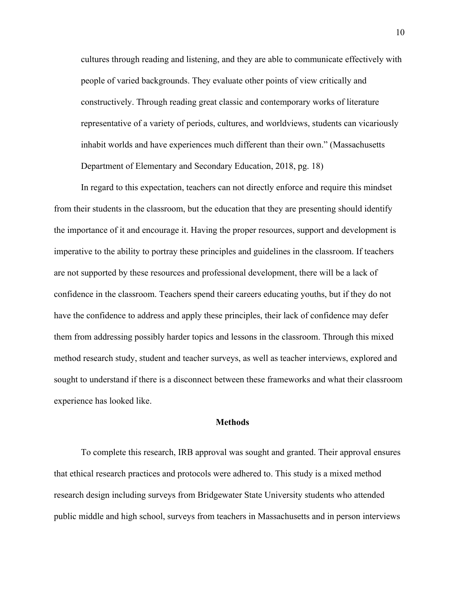cultures through reading and listening, and they are able to communicate effectively with people of varied backgrounds. They evaluate other points of view critically and constructively. Through reading great classic and contemporary works of literature representative of a variety of periods, cultures, and worldviews, students can vicariously inhabit worlds and have experiences much different than their own." (Massachusetts Department of Elementary and Secondary Education, 2018, pg. 18)

In regard to this expectation, teachers can not directly enforce and require this mindset from their students in the classroom, but the education that they are presenting should identify the importance of it and encourage it. Having the proper resources, support and development is imperative to the ability to portray these principles and guidelines in the classroom. If teachers are not supported by these resources and professional development, there will be a lack of confidence in the classroom. Teachers spend their careers educating youths, but if they do not have the confidence to address and apply these principles, their lack of confidence may defer them from addressing possibly harder topics and lessons in the classroom. Through this mixed method research study, student and teacher surveys, as well as teacher interviews, explored and sought to understand if there is a disconnect between these frameworks and what their classroom experience has looked like.

#### **Methods**

To complete this research, IRB approval was sought and granted. Their approval ensures that ethical research practices and protocols were adhered to. This study is a mixed method research design including surveys from Bridgewater State University students who attended public middle and high school, surveys from teachers in Massachusetts and in person interviews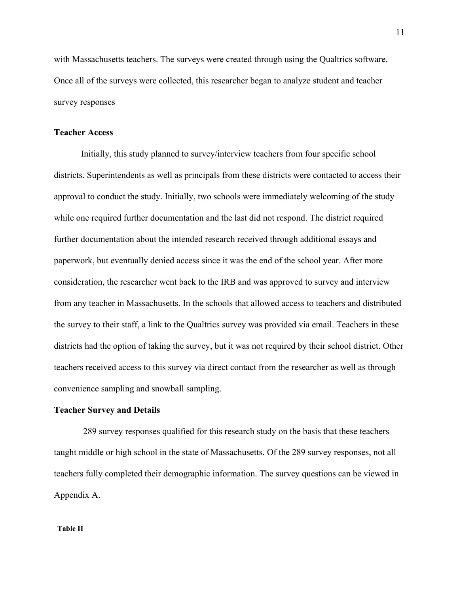with Massachusetts teachers. The surveys were created through using the Qualtrics software. Once all of the surveys were collected, this researcher began to analyze student and teacher survey responses

#### **Teacher Access**

Initially, this study planned to survey/interview teachers from four specific school districts. Superintendents as well as principals from these districts were contacted to access their approval to conduct the study. Initially, two schools were immediately welcoming of the study while one required further documentation and the last did not respond. The district required further documentation about the intended research received through additional essays and paperwork, but eventually denied access since it was the end of the school year. After more consideration, the researcher went back to the IRB and was approved to survey and interview from any teacher in Massachusetts. In the schools that allowed access to teachers and distributed the survey to their staff, a link to the Qualtrics survey was provided via email. Teachers in these districts had the option of taking the survey, but it was not required by their school district. Other teachers received access to this survey via direct contact from the researcher as well as through convenience sampling and snowball sampling.

#### **Teacher Survey and Details**

 289 survey responses qualified for this research study on the basis that these teachers taught middle or high school in the state of Massachusetts. Of the 289 survey responses, not all teachers fully completed their demographic information. The survey questions can be viewed in Appendix A.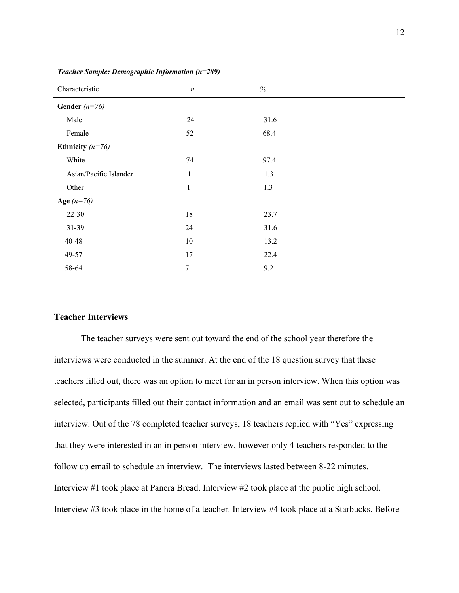| Characteristic         | $\boldsymbol{n}$ | $\%$ |  |
|------------------------|------------------|------|--|
| Gender $(n=76)$        |                  |      |  |
| Male                   | 24               | 31.6 |  |
| Female                 | 52               | 68.4 |  |
| Ethnicity $(n=76)$     |                  |      |  |
| White                  | 74               | 97.4 |  |
| Asian/Pacific Islander | $\mathbf{1}$     | 1.3  |  |
| Other                  | $\,1$            | 1.3  |  |
| Age $(n=76)$           |                  |      |  |
| $22 - 30$              | 18               | 23.7 |  |
| $31-39$                | 24               | 31.6 |  |
| 40-48                  | 10               | 13.2 |  |
| 49-57                  | 17               | 22.4 |  |
| 58-64                  | $\boldsymbol{7}$ | 9.2  |  |
|                        |                  |      |  |

*Teacher Sample: Demographic Information (n=289)*

#### **Teacher Interviews**

The teacher surveys were sent out toward the end of the school year therefore the interviews were conducted in the summer. At the end of the 18 question survey that these teachers filled out, there was an option to meet for an in person interview. When this option was selected, participants filled out their contact information and an email was sent out to schedule an interview. Out of the 78 completed teacher surveys, 18 teachers replied with "Yes" expressing that they were interested in an in person interview, however only 4 teachers responded to the follow up email to schedule an interview. The interviews lasted between 8-22 minutes. Interview #1 took place at Panera Bread. Interview #2 took place at the public high school. Interview #3 took place in the home of a teacher. Interview #4 took place at a Starbucks. Before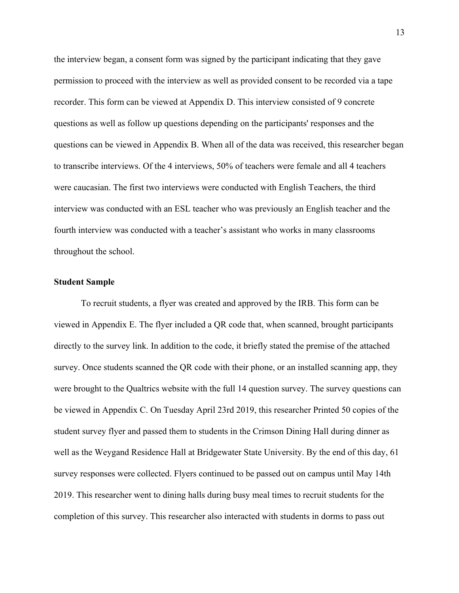the interview began, a consent form was signed by the participant indicating that they gave permission to proceed with the interview as well as provided consent to be recorded via a tape recorder. This form can be viewed at Appendix D. This interview consisted of 9 concrete questions as well as follow up questions depending on the participants' responses and the questions can be viewed in Appendix B. When all of the data was received, this researcher began to transcribe interviews. Of the 4 interviews, 50% of teachers were female and all 4 teachers were caucasian. The first two interviews were conducted with English Teachers, the third interview was conducted with an ESL teacher who was previously an English teacher and the fourth interview was conducted with a teacher's assistant who works in many classrooms throughout the school.

#### **Student Sample**

To recruit students, a flyer was created and approved by the IRB. This form can be viewed in Appendix E. The flyer included a QR code that, when scanned, brought participants directly to the survey link. In addition to the code, it briefly stated the premise of the attached survey. Once students scanned the QR code with their phone, or an installed scanning app, they were brought to the Qualtrics website with the full 14 question survey. The survey questions can be viewed in Appendix C. On Tuesday April 23rd 2019, this researcher Printed 50 copies of the student survey flyer and passed them to students in the Crimson Dining Hall during dinner as well as the Weygand Residence Hall at Bridgewater State University. By the end of this day, 61 survey responses were collected. Flyers continued to be passed out on campus until May 14th 2019. This researcher went to dining halls during busy meal times to recruit students for the completion of this survey. This researcher also interacted with students in dorms to pass out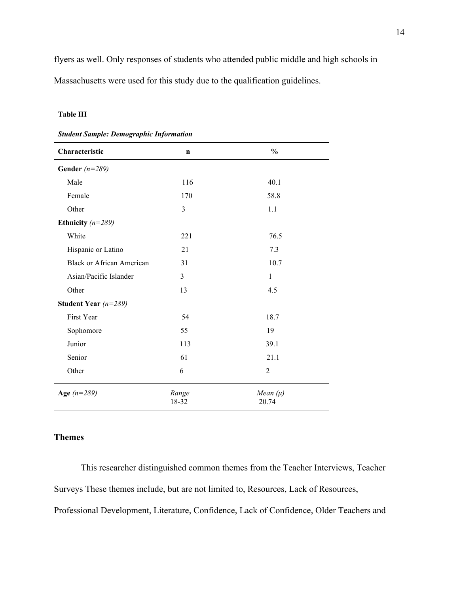flyers as well. Only responses of students who attended public middle and high schools in Massachusetts were used for this study due to the qualification guidelines.

#### **Table III**

|  | <b>Student Sample: Demographic Information</b> |
|--|------------------------------------------------|
|--|------------------------------------------------|

| Characteristic                   | n              | $\frac{0}{0}$         |
|----------------------------------|----------------|-----------------------|
| Gender $(n=289)$                 |                |                       |
| Male                             | 116            | 40.1                  |
| Female                           | 170            | 58.8                  |
| Other                            | 3              | 1.1                   |
| Ethnicity $(n=289)$              |                |                       |
| White                            | 221            | 76.5                  |
| Hispanic or Latino               | 21             | 7.3                   |
| <b>Black or African American</b> | 31             | 10.7                  |
| Asian/Pacific Islander           | $\overline{3}$ | $\mathbf{1}$          |
| Other                            | 13             | 4.5                   |
| Student Year $(n=289)$           |                |                       |
| First Year                       | 54             | 18.7                  |
| Sophomore                        | 55             | 19                    |
| Junior                           | 113            | 39.1                  |
| Senior                           | 61             | 21.1                  |
| Other                            | 6              | $\overline{2}$        |
| Age $(n=289)$                    | Range<br>18-32 | Mean $(\mu)$<br>20.74 |

### **Themes**

This researcher distinguished common themes from the Teacher Interviews, Teacher Surveys These themes include, but are not limited to, Resources, Lack of Resources, Professional Development, Literature, Confidence, Lack of Confidence, Older Teachers and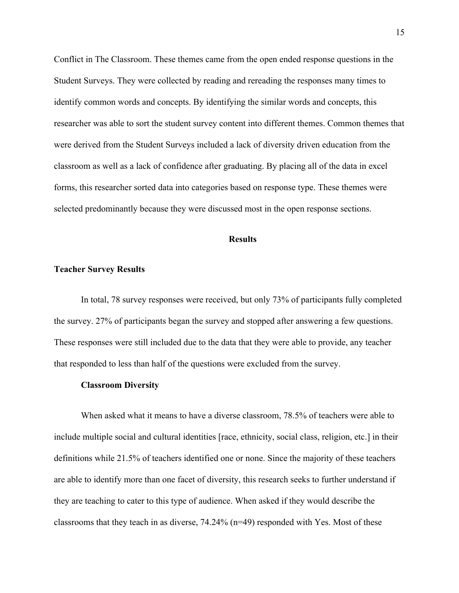Conflict in The Classroom. These themes came from the open ended response questions in the Student Surveys. They were collected by reading and rereading the responses many times to identify common words and concepts. By identifying the similar words and concepts, this researcher was able to sort the student survey content into different themes. Common themes that were derived from the Student Surveys included a lack of diversity driven education from the classroom as well as a lack of confidence after graduating. By placing all of the data in excel forms, this researcher sorted data into categories based on response type. These themes were selected predominantly because they were discussed most in the open response sections.

#### **Results**

#### **Teacher Survey Results**

In total, 78 survey responses were received, but only 73% of participants fully completed the survey. 27% of participants began the survey and stopped after answering a few questions. These responses were still included due to the data that they were able to provide, any teacher that responded to less than half of the questions were excluded from the survey.

#### **Classroom Diversity**

When asked what it means to have a diverse classroom, 78.5% of teachers were able to include multiple social and cultural identities [race, ethnicity, social class, religion, etc.] in their definitions while 21.5% of teachers identified one or none. Since the majority of these teachers are able to identify more than one facet of diversity, this research seeks to further understand if they are teaching to cater to this type of audience. When asked if they would describe the classrooms that they teach in as diverse, 74.24% (n=49) responded with Yes. Most of these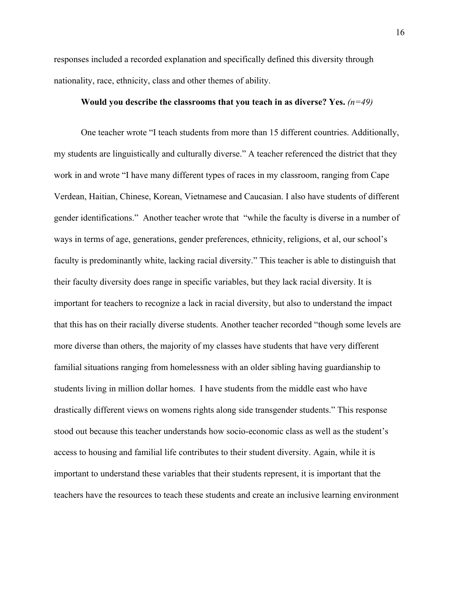responses included a recorded explanation and specifically defined this diversity through nationality, race, ethnicity, class and other themes of ability.

#### **Would you describe the classrooms that you teach in as diverse? Yes.** *(n=49)*

One teacher wrote "I teach students from more than 15 different countries. Additionally, my students are linguistically and culturally diverse." A teacher referenced the district that they work in and wrote "I have many different types of races in my classroom, ranging from Cape Verdean, Haitian, Chinese, Korean, Vietnamese and Caucasian. I also have students of different gender identifications." Another teacher wrote that "while the faculty is diverse in a number of ways in terms of age, generations, gender preferences, ethnicity, religions, et al, our school's faculty is predominantly white, lacking racial diversity." This teacher is able to distinguish that their faculty diversity does range in specific variables, but they lack racial diversity. It is important for teachers to recognize a lack in racial diversity, but also to understand the impact that this has on their racially diverse students. Another teacher recorded "though some levels are more diverse than others, the majority of my classes have students that have very different familial situations ranging from homelessness with an older sibling having guardianship to students living in million dollar homes. I have students from the middle east who have drastically different views on womens rights along side transgender students." This response stood out because this teacher understands how socio-economic class as well as the student's access to housing and familial life contributes to their student diversity. Again, while it is important to understand these variables that their students represent, it is important that the teachers have the resources to teach these students and create an inclusive learning environment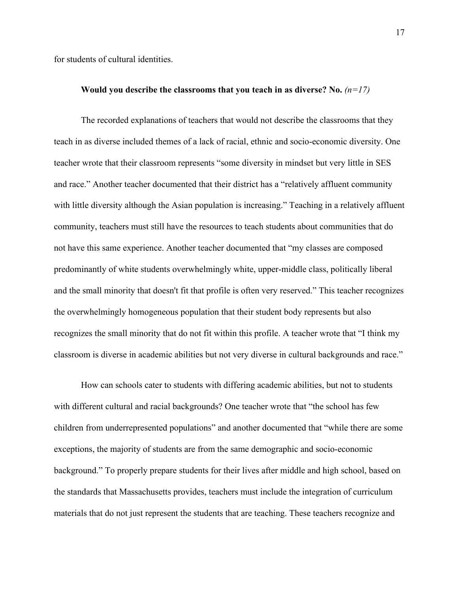for students of cultural identities.

#### **Would you describe the classrooms that you teach in as diverse? No.**  $(n=17)$

The recorded explanations of teachers that would not describe the classrooms that they teach in as diverse included themes of a lack of racial, ethnic and socio-economic diversity. One teacher wrote that their classroom represents "some diversity in mindset but very little in SES and race." Another teacher documented that their district has a "relatively affluent community with little diversity although the Asian population is increasing." Teaching in a relatively affluent community, teachers must still have the resources to teach students about communities that do not have this same experience. Another teacher documented that "my classes are composed predominantly of white students overwhelmingly white, upper-middle class, politically liberal and the small minority that doesn't fit that profile is often very reserved." This teacher recognizes the overwhelmingly homogeneous population that their student body represents but also recognizes the small minority that do not fit within this profile. A teacher wrote that "I think my classroom is diverse in academic abilities but not very diverse in cultural backgrounds and race."

How can schools cater to students with differing academic abilities, but not to students with different cultural and racial backgrounds? One teacher wrote that "the school has few children from underrepresented populations" and another documented that "while there are some exceptions, the majority of students are from the same demographic and socio-economic background." To properly prepare students for their lives after middle and high school, based on the standards that Massachusetts provides, teachers must include the integration of curriculum materials that do not just represent the students that are teaching. These teachers recognize and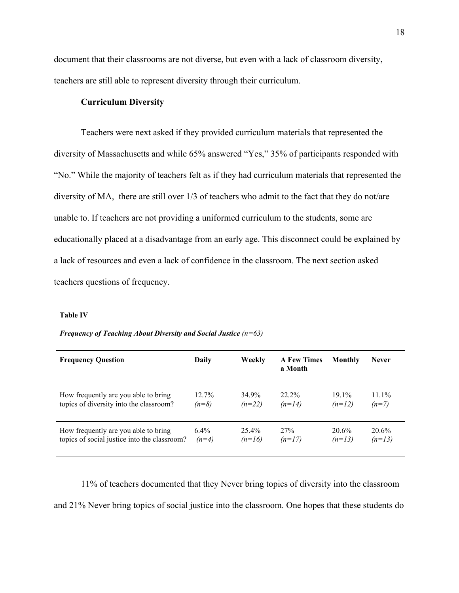document that their classrooms are not diverse, but even with a lack of classroom diversity, teachers are still able to represent diversity through their curriculum.

#### **Curriculum Diversity**

Teachers were next asked if they provided curriculum materials that represented the diversity of Massachusetts and while 65% answered "Yes," 35% of participants responded with "No." While the majority of teachers felt as if they had curriculum materials that represented the diversity of MA, there are still over 1/3 of teachers who admit to the fact that they do not/are unable to. If teachers are not providing a uniformed curriculum to the students, some are educationally placed at a disadvantage from an early age. This disconnect could be explained by a lack of resources and even a lack of confidence in the classroom. The next section asked teachers questions of frequency.

#### **Table IV**

#### *Frequency of Teaching About Diversity and Social Justice (n=63)*

| <b>Frequency Question</b>                    | Daily   | Weekly   | <b>A Few Times</b><br>a Month | Monthly  | <b>Never</b> |
|----------------------------------------------|---------|----------|-------------------------------|----------|--------------|
| How frequently are you able to bring         | 12.7%   | 34.9%    | $22.2\%$                      | $19.1\%$ | $11.1\%$     |
| topics of diversity into the classroom?      | $(n=8)$ | $(n=22)$ | $(n=14)$                      | $(n=12)$ | $(n=7)$      |
| How frequently are you able to bring         | $6.4\%$ | $25.4\%$ | 27%                           | $20.6\%$ | $20.6\%$     |
| topics of social justice into the classroom? | $(n=4)$ | $(n=16)$ | $(n=17)$                      | $(n=13)$ | $(n=13)$     |

11% of teachers documented that they Never bring topics of diversity into the classroom and 21% Never bring topics of social justice into the classroom. One hopes that these students do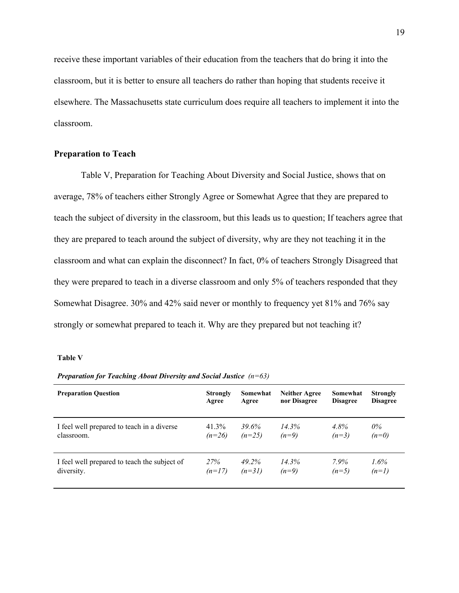receive these important variables of their education from the teachers that do bring it into the classroom, but it is better to ensure all teachers do rather than hoping that students receive it elsewhere. The Massachusetts state curriculum does require all teachers to implement it into the classroom.

#### **Preparation to Teach**

Table V, Preparation for Teaching About Diversity and Social Justice, shows that on average, 78% of teachers either Strongly Agree or Somewhat Agree that they are prepared to teach the subject of diversity in the classroom, but this leads us to question; If teachers agree that they are prepared to teach around the subject of diversity, why are they not teaching it in the classroom and what can explain the disconnect? In fact, 0% of teachers Strongly Disagreed that they were prepared to teach in a diverse classroom and only 5% of teachers responded that they Somewhat Disagree. 30% and 42% said never or monthly to frequency yet 81% and 76% say strongly or somewhat prepared to teach it. Why are they prepared but not teaching it?

#### **Table V**

| <b>Preparation Question</b>                  | <b>Strongly</b> | Somewhat | <b>Neither Agree</b> | Somewhat        | <b>Strongly</b> |
|----------------------------------------------|-----------------|----------|----------------------|-----------------|-----------------|
|                                              | Agree           | Agree    | nor Disagree         | <b>Disagree</b> | <b>Disagree</b> |
| I feel well prepared to teach in a diverse   | $41.3\%$        | 39.6%    | 14.3%                | $4.8\%$         | $0\%$           |
| classroom.                                   | $(n=26)$        | $(n=25)$ | $(n=9)$              | $(n=3)$         | $(n=0)$         |
| I feel well prepared to teach the subject of | 27%             | 49.2%    | 14.3%                | 7.9%            | 1.6%            |
| diversity.                                   | $(n=17)$        | $(n=31)$ | $(n=9)$              | $(n=5)$         | $(n=1)$         |

*Preparation for Teaching About Diversity and Social Justice (n=63)*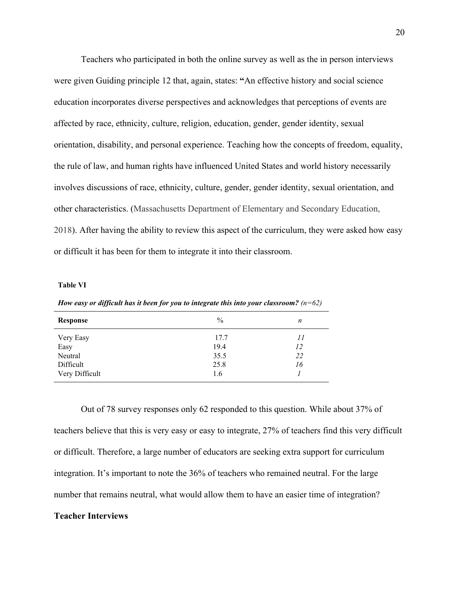Teachers who participated in both the online survey as well as the in person interviews were given Guiding principle 12 that, again, states: **"**An effective history and social science education incorporates diverse perspectives and acknowledges that perceptions of events are affected by race, ethnicity, culture, religion, education, gender, gender identity, sexual orientation, disability, and personal experience. Teaching how the concepts of freedom, equality, the rule of law, and human rights have influenced United States and world history necessarily involves discussions of race, ethnicity, culture, gender, gender identity, sexual orientation, and other characteristics. (Massachusetts Department of Elementary and Secondary Education, 2018). After having the ability to review this aspect of the curriculum, they were asked how easy or difficult it has been for them to integrate it into their classroom.

#### **Table VI**

| Response       | $\%$ | n  |
|----------------|------|----|
| Very Easy      | 17.7 | 11 |
| Easy           | 19.4 | 12 |
| Neutral        | 35.5 | 22 |
| Difficult      | 25.8 | 16 |
| Very Difficult | 1.6  |    |

*How easy or dif icult has it been for you to integrate this into your classroom? (n=62)*

Out of 78 survey responses only 62 responded to this question. While about 37% of teachers believe that this is very easy or easy to integrate, 27% of teachers find this very difficult or difficult. Therefore, a large number of educators are seeking extra support for curriculum integration. It's important to note the 36% of teachers who remained neutral. For the large number that remains neutral, what would allow them to have an easier time of integration?

#### **Teacher Interviews**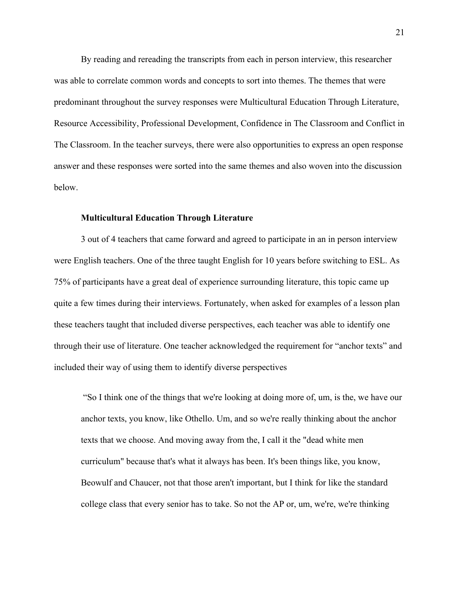By reading and rereading the transcripts from each in person interview, this researcher was able to correlate common words and concepts to sort into themes. The themes that were predominant throughout the survey responses were Multicultural Education Through Literature, Resource Accessibility, Professional Development, Confidence in The Classroom and Conflict in The Classroom. In the teacher surveys, there were also opportunities to express an open response answer and these responses were sorted into the same themes and also woven into the discussion below.

#### **Multicultural Education Through Literature**

3 out of 4 teachers that came forward and agreed to participate in an in person interview were English teachers. One of the three taught English for 10 years before switching to ESL. As 75% of participants have a great deal of experience surrounding literature, this topic came up quite a few times during their interviews. Fortunately, when asked for examples of a lesson plan these teachers taught that included diverse perspectives, each teacher was able to identify one through their use of literature. One teacher acknowledged the requirement for "anchor texts" and included their way of using them to identify diverse perspectives

 "So I think one of the things that we're looking at doing more of, um, is the, we have our anchor texts, you know, like Othello. Um, and so we're really thinking about the anchor texts that we choose. And moving away from the, I call it the "dead white men curriculum" because that's what it always has been. It's been things like, you know, Beowulf and Chaucer, not that those aren't important, but I think for like the standard college class that every senior has to take. So not the AP or, um, we're, we're thinking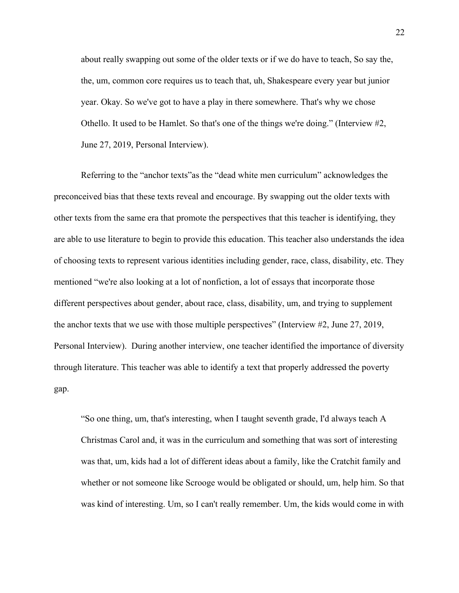about really swapping out some of the older texts or if we do have to teach, So say the, the, um, common core requires us to teach that, uh, Shakespeare every year but junior year. Okay. So we've got to have a play in there somewhere. That's why we chose Othello. It used to be Hamlet. So that's one of the things we're doing." (Interview #2, June 27, 2019, Personal Interview).

Referring to the "anchor texts"as the "dead white men curriculum" acknowledges the preconceived bias that these texts reveal and encourage. By swapping out the older texts with other texts from the same era that promote the perspectives that this teacher is identifying, they are able to use literature to begin to provide this education. This teacher also understands the idea of choosing texts to represent various identities including gender, race, class, disability, etc. They mentioned "we're also looking at a lot of nonfiction, a lot of essays that incorporate those different perspectives about gender, about race, class, disability, um, and trying to supplement the anchor texts that we use with those multiple perspectives" (Interview #2, June 27, 2019, Personal Interview). During another interview, one teacher identified the importance of diversity through literature. This teacher was able to identify a text that properly addressed the poverty gap.

"So one thing, um, that's interesting, when I taught seventh grade, I'd always teach A Christmas Carol and, it was in the curriculum and something that was sort of interesting was that, um, kids had a lot of different ideas about a family, like the Cratchit family and whether or not someone like Scrooge would be obligated or should, um, help him. So that was kind of interesting. Um, so I can't really remember. Um, the kids would come in with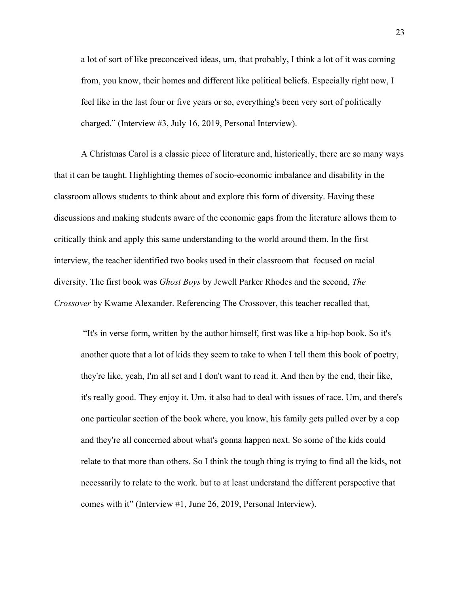a lot of sort of like preconceived ideas, um, that probably, I think a lot of it was coming from, you know, their homes and different like political beliefs. Especially right now, I feel like in the last four or five years or so, everything's been very sort of politically charged." (Interview #3, July 16, 2019, Personal Interview).

A Christmas Carol is a classic piece of literature and, historically, there are so many ways that it can be taught. Highlighting themes of socio-economic imbalance and disability in the classroom allows students to think about and explore this form of diversity. Having these discussions and making students aware of the economic gaps from the literature allows them to critically think and apply this same understanding to the world around them. In the first interview, the teacher identified two books used in their classroom that focused on racial diversity. The first book was *Ghost Boys* by Jewell Parker Rhodes and the second, *The Crossover* by Kwame Alexander. Referencing The Crossover, this teacher recalled that,

 "It's in verse form, written by the author himself, first was like a hip-hop book. So it's another quote that a lot of kids they seem to take to when I tell them this book of poetry, they're like, yeah, I'm all set and I don't want to read it. And then by the end, their like, it's really good. They enjoy it. Um, it also had to deal with issues of race. Um, and there's one particular section of the book where, you know, his family gets pulled over by a cop and they're all concerned about what's gonna happen next. So some of the kids could relate to that more than others. So I think the tough thing is trying to find all the kids, not necessarily to relate to the work. but to at least understand the different perspective that comes with it" (Interview #1, June 26, 2019, Personal Interview).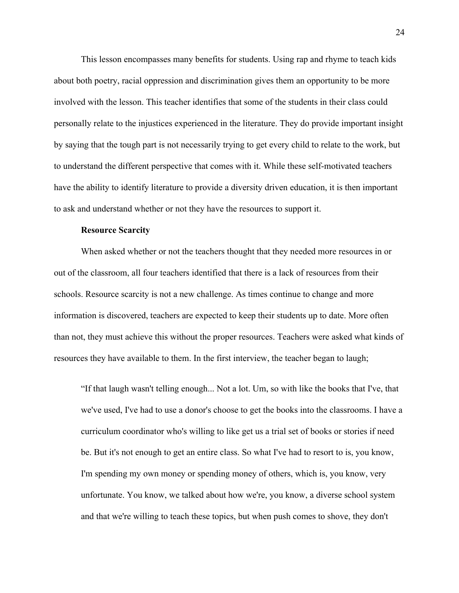This lesson encompasses many benefits for students. Using rap and rhyme to teach kids about both poetry, racial oppression and discrimination gives them an opportunity to be more involved with the lesson. This teacher identifies that some of the students in their class could personally relate to the injustices experienced in the literature. They do provide important insight by saying that the tough part is not necessarily trying to get every child to relate to the work, but to understand the different perspective that comes with it. While these self-motivated teachers have the ability to identify literature to provide a diversity driven education, it is then important to ask and understand whether or not they have the resources to support it.

#### **Resource Scarcity**

When asked whether or not the teachers thought that they needed more resources in or out of the classroom, all four teachers identified that there is a lack of resources from their schools. Resource scarcity is not a new challenge. As times continue to change and more information is discovered, teachers are expected to keep their students up to date. More often than not, they must achieve this without the proper resources. Teachers were asked what kinds of resources they have available to them. In the first interview, the teacher began to laugh;

"If that laugh wasn't telling enough... Not a lot. Um, so with like the books that I've, that we've used, I've had to use a donor's choose to get the books into the classrooms. I have a curriculum coordinator who's willing to like get us a trial set of books or stories if need be. But it's not enough to get an entire class. So what I've had to resort to is, you know, I'm spending my own money or spending money of others, which is, you know, very unfortunate. You know, we talked about how we're, you know, a diverse school system and that we're willing to teach these topics, but when push comes to shove, they don't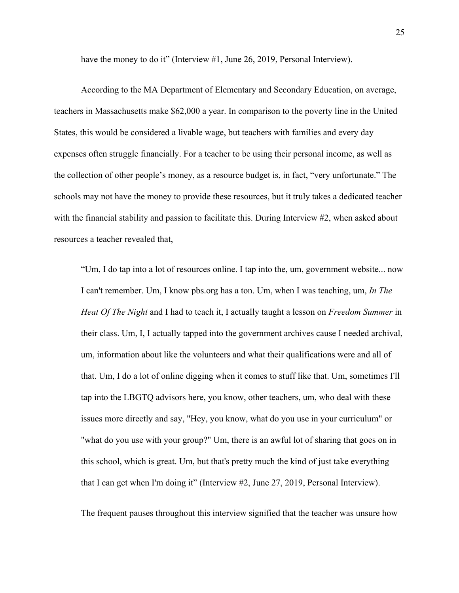have the money to do it" (Interview #1, June 26, 2019, Personal Interview).

According to the MA Department of Elementary and Secondary Education, on average, teachers in Massachusetts make \$62,000 a year. In comparison to the poverty line in the United States, this would be considered a livable wage, but teachers with families and every day expenses often struggle financially. For a teacher to be using their personal income, as well as the collection of other people's money, as a resource budget is, in fact, "very unfortunate." The schools may not have the money to provide these resources, but it truly takes a dedicated teacher with the financial stability and passion to facilitate this. During Interview #2, when asked about resources a teacher revealed that,

"Um, I do tap into a lot of resources online. I tap into the, um, government website... now I can't remember. Um, I know pbs.org has a ton. Um, when I was teaching, um, *In The Heat Of The Night* and I had to teach it, I actually taught a lesson on *Freedom Summer* in their class. Um, I, I actually tapped into the government archives cause I needed archival, um, information about like the volunteers and what their qualifications were and all of that. Um, I do a lot of online digging when it comes to stuff like that. Um, sometimes I'll tap into the LBGTQ advisors here, you know, other teachers, um, who deal with these issues more directly and say, "Hey, you know, what do you use in your curriculum" or "what do you use with your group?" Um, there is an awful lot of sharing that goes on in this school, which is great. Um, but that's pretty much the kind of just take everything that I can get when I'm doing it" (Interview #2, June 27, 2019, Personal Interview).

The frequent pauses throughout this interview signified that the teacher was unsure how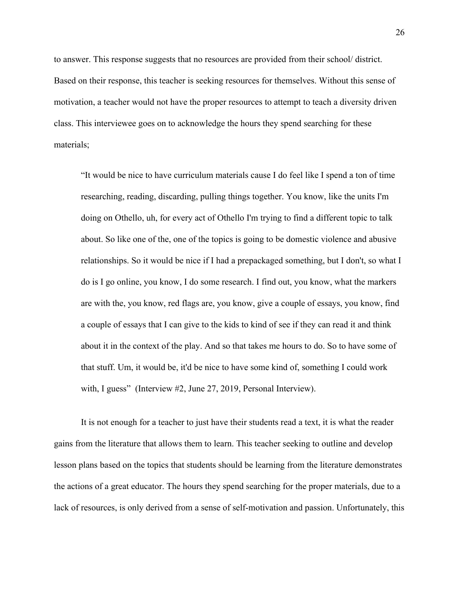to answer. This response suggests that no resources are provided from their school/ district. Based on their response, this teacher is seeking resources for themselves. Without this sense of motivation, a teacher would not have the proper resources to attempt to teach a diversity driven class. This interviewee goes on to acknowledge the hours they spend searching for these materials;

"It would be nice to have curriculum materials cause I do feel like I spend a ton of time researching, reading, discarding, pulling things together. You know, like the units I'm doing on Othello, uh, for every act of Othello I'm trying to find a different topic to talk about. So like one of the, one of the topics is going to be domestic violence and abusive relationships. So it would be nice if I had a prepackaged something, but I don't, so what I do is I go online, you know, I do some research. I find out, you know, what the markers are with the, you know, red flags are, you know, give a couple of essays, you know, find a couple of essays that I can give to the kids to kind of see if they can read it and think about it in the context of the play. And so that takes me hours to do. So to have some of that stuff. Um, it would be, it'd be nice to have some kind of, something I could work with, I guess" (Interview #2, June 27, 2019, Personal Interview).

It is not enough for a teacher to just have their students read a text, it is what the reader gains from the literature that allows them to learn. This teacher seeking to outline and develop lesson plans based on the topics that students should be learning from the literature demonstrates the actions of a great educator. The hours they spend searching for the proper materials, due to a lack of resources, is only derived from a sense of self-motivation and passion. Unfortunately, this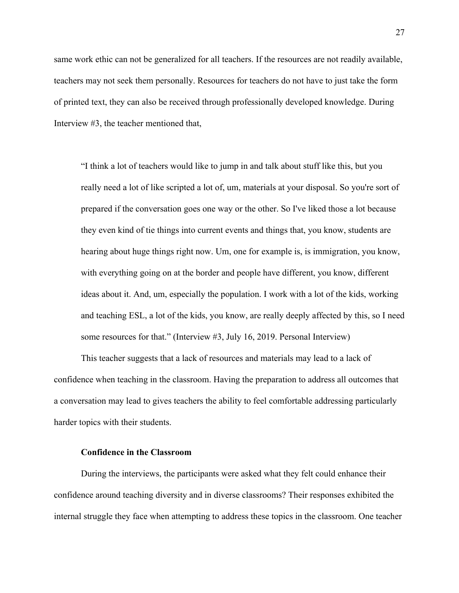same work ethic can not be generalized for all teachers. If the resources are not readily available, teachers may not seek them personally. Resources for teachers do not have to just take the form of printed text, they can also be received through professionally developed knowledge. During Interview #3, the teacher mentioned that,

"I think a lot of teachers would like to jump in and talk about stuff like this, but you really need a lot of like scripted a lot of, um, materials at your disposal. So you're sort of prepared if the conversation goes one way or the other. So I've liked those a lot because they even kind of tie things into current events and things that, you know, students are hearing about huge things right now. Um, one for example is, is immigration, you know, with everything going on at the border and people have different, you know, different ideas about it. And, um, especially the population. I work with a lot of the kids, working and teaching ESL, a lot of the kids, you know, are really deeply affected by this, so I need some resources for that." (Interview #3, July 16, 2019. Personal Interview)

This teacher suggests that a lack of resources and materials may lead to a lack of confidence when teaching in the classroom. Having the preparation to address all outcomes that a conversation may lead to gives teachers the ability to feel comfortable addressing particularly harder topics with their students.

#### **Confidence in the Classroom**

During the interviews, the participants were asked what they felt could enhance their confidence around teaching diversity and in diverse classrooms? Their responses exhibited the internal struggle they face when attempting to address these topics in the classroom. One teacher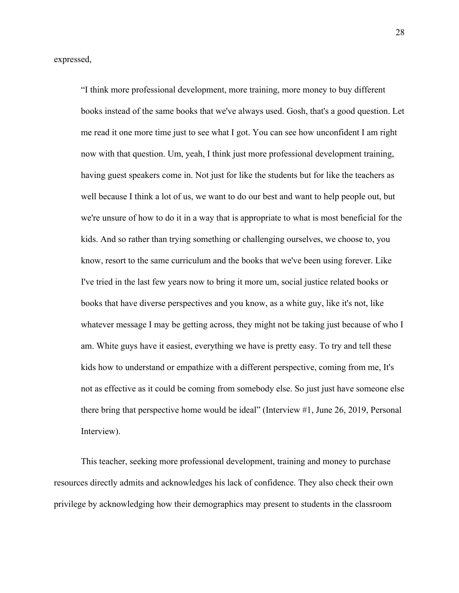expressed,

"I think more professional development, more training, more money to buy different books instead of the same books that we've always used. Gosh, that's a good question. Let me read it one more time just to see what I got. You can see how unconfident I am right now with that question. Um, yeah, I think just more professional development training, having guest speakers come in. Not just for like the students but for like the teachers as well because I think a lot of us, we want to do our best and want to help people out, but we're unsure of how to do it in a way that is appropriate to what is most beneficial for the kids. And so rather than trying something or challenging ourselves, we choose to, you know, resort to the same curriculum and the books that we've been using forever. Like I've tried in the last few years now to bring it more um, social justice related books or books that have diverse perspectives and you know, as a white guy, like it's not, like whatever message I may be getting across, they might not be taking just because of who I am. White guys have it easiest, everything we have is pretty easy. To try and tell these kids how to understand or empathize with a different perspective, coming from me, It's not as effective as it could be coming from somebody else. So just just have someone else there bring that perspective home would be ideal" (Interview #1, June 26, 2019, Personal Interview).

This teacher, seeking more professional development, training and money to purchase resources directly admits and acknowledges his lack of confidence. They also check their own privilege by acknowledging how their demographics may present to students in the classroom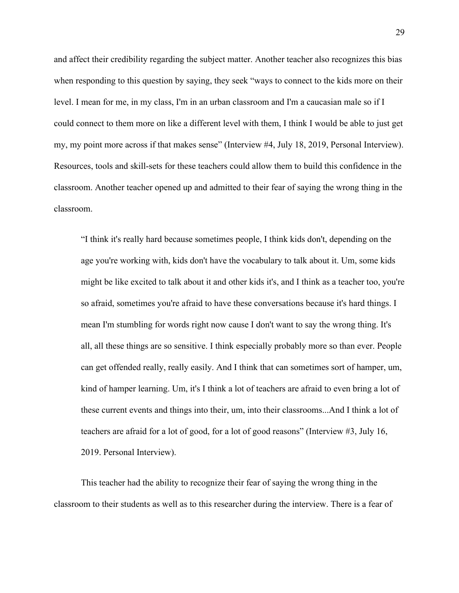and affect their credibility regarding the subject matter. Another teacher also recognizes this bias when responding to this question by saying, they seek "ways to connect to the kids more on their level. I mean for me, in my class, I'm in an urban classroom and I'm a caucasian male so if I could connect to them more on like a different level with them, I think I would be able to just get my, my point more across if that makes sense" (Interview #4, July 18, 2019, Personal Interview). Resources, tools and skill-sets for these teachers could allow them to build this confidence in the classroom. Another teacher opened up and admitted to their fear of saying the wrong thing in the classroom.

"I think it's really hard because sometimes people, I think kids don't, depending on the age you're working with, kids don't have the vocabulary to talk about it. Um, some kids might be like excited to talk about it and other kids it's, and I think as a teacher too, you're so afraid, sometimes you're afraid to have these conversations because it's hard things. I mean I'm stumbling for words right now cause I don't want to say the wrong thing. It's all, all these things are so sensitive. I think especially probably more so than ever. People can get offended really, really easily. And I think that can sometimes sort of hamper, um, kind of hamper learning. Um, it's I think a lot of teachers are afraid to even bring a lot of these current events and things into their, um, into their classrooms...And I think a lot of teachers are afraid for a lot of good, for a lot of good reasons" (Interview #3, July 16, 2019. Personal Interview).

This teacher had the ability to recognize their fear of saying the wrong thing in the classroom to their students as well as to this researcher during the interview. There is a fear of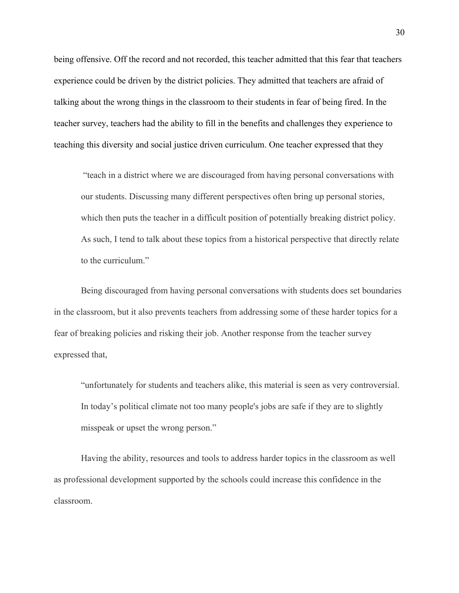being offensive. Off the record and not recorded, this teacher admitted that this fear that teachers experience could be driven by the district policies. They admitted that teachers are afraid of talking about the wrong things in the classroom to their students in fear of being fired. In the teacher survey, teachers had the ability to fill in the benefits and challenges they experience to teaching this diversity and social justice driven curriculum. One teacher expressed that they

"teach in a district where we are discouraged from having personal conversations with our students. Discussing many different perspectives often bring up personal stories, which then puts the teacher in a difficult position of potentially breaking district policy. As such, I tend to talk about these topics from a historical perspective that directly relate to the curriculum."

Being discouraged from having personal conversations with students does set boundaries in the classroom, but it also prevents teachers from addressing some of these harder topics for a fear of breaking policies and risking their job. Another response from the teacher survey expressed that,

"unfortunately for students and teachers alike, this material is seen as very controversial. In today's political climate not too many people's jobs are safe if they are to slightly misspeak or upset the wrong person."

Having the ability, resources and tools to address harder topics in the classroom as well as professional development supported by the schools could increase this confidence in the classroom.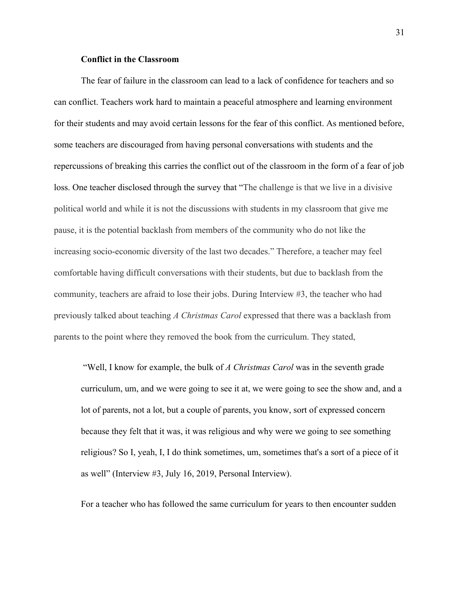#### **Conflict in the Classroom**

The fear of failure in the classroom can lead to a lack of confidence for teachers and so can conflict. Teachers work hard to maintain a peaceful atmosphere and learning environment for their students and may avoid certain lessons for the fear of this conflict. As mentioned before, some teachers are discouraged from having personal conversations with students and the repercussions of breaking this carries the conflict out of the classroom in the form of a fear of job loss. One teacher disclosed through the survey that "The challenge is that we live in a divisive political world and while it is not the discussions with students in my classroom that give me pause, it is the potential backlash from members of the community who do not like the increasing socio-economic diversity of the last two decades." Therefore, a teacher may feel comfortable having difficult conversations with their students, but due to backlash from the community, teachers are afraid to lose their jobs. During Interview #3, the teacher who had previously talked about teaching *A Christmas Carol* expressed that there was a backlash from parents to the point where they removed the book from the curriculum. They stated,

"Well, I know for example, the bulk of *A Christmas Carol* was in the seventh grade curriculum, um, and we were going to see it at, we were going to see the show and, and a lot of parents, not a lot, but a couple of parents, you know, sort of expressed concern because they felt that it was, it was religious and why were we going to see something religious? So I, yeah, I, I do think sometimes, um, sometimes that's a sort of a piece of it as well" (Interview #3, July 16, 2019, Personal Interview).

For a teacher who has followed the same curriculum for years to then encounter sudden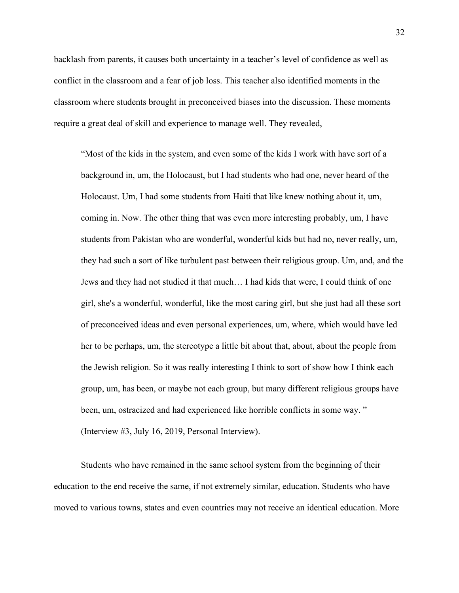backlash from parents, it causes both uncertainty in a teacher's level of confidence as well as conflict in the classroom and a fear of job loss. This teacher also identified moments in the classroom where students brought in preconceived biases into the discussion. These moments require a great deal of skill and experience to manage well. They revealed,

"Most of the kids in the system, and even some of the kids I work with have sort of a background in, um, the Holocaust, but I had students who had one, never heard of the Holocaust. Um, I had some students from Haiti that like knew nothing about it, um, coming in. Now. The other thing that was even more interesting probably, um, I have students from Pakistan who are wonderful, wonderful kids but had no, never really, um, they had such a sort of like turbulent past between their religious group. Um, and, and the Jews and they had not studied it that much… I had kids that were, I could think of one girl, she's a wonderful, wonderful, like the most caring girl, but she just had all these sort of preconceived ideas and even personal experiences, um, where, which would have led her to be perhaps, um, the stereotype a little bit about that, about, about the people from the Jewish religion. So it was really interesting I think to sort of show how I think each group, um, has been, or maybe not each group, but many different religious groups have been, um, ostracized and had experienced like horrible conflicts in some way. " (Interview #3, July 16, 2019, Personal Interview).

Students who have remained in the same school system from the beginning of their education to the end receive the same, if not extremely similar, education. Students who have moved to various towns, states and even countries may not receive an identical education. More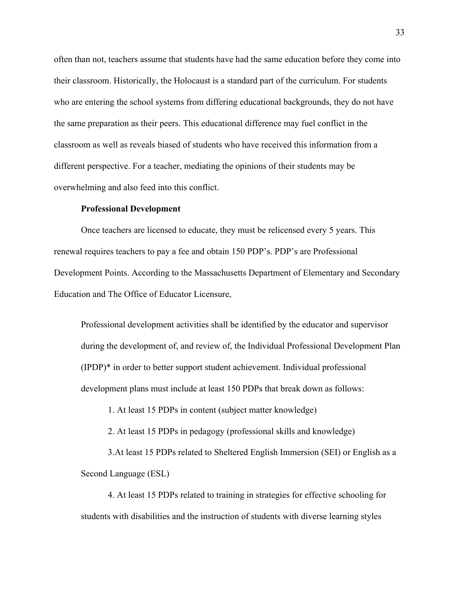often than not, teachers assume that students have had the same education before they come into their classroom. Historically, the Holocaust is a standard part of the curriculum. For students who are entering the school systems from differing educational backgrounds, they do not have the same preparation as their peers. This educational difference may fuel conflict in the classroom as well as reveals biased of students who have received this information from a different perspective. For a teacher, mediating the opinions of their students may be overwhelming and also feed into this conflict.

#### **Professional Development**

Once teachers are licensed to educate, they must be relicensed every 5 years. This renewal requires teachers to pay a fee and obtain 150 PDP's. PDP's are Professional Development Points. According to the Massachusetts Department of Elementary and Secondary Education and The Office of Educator Licensure,

Professional development activities shall be identified by the educator and supervisor during the development of, and review of, the Individual Professional Development Plan (IPDP)\* in order to better support student achievement. Individual professional development plans must include at least 150 PDPs that break down as follows:

1. At least 15 PDPs in content (subject matter knowledge)

2. At least 15 PDPs in pedagogy (professional skills and knowledge)

3.At least 15 PDPs related to Sheltered English Immersion (SEI) or English as a Second Language (ESL)

4. At least 15 PDPs related to training in strategies for effective schooling for students with disabilities and the instruction of students with diverse learning styles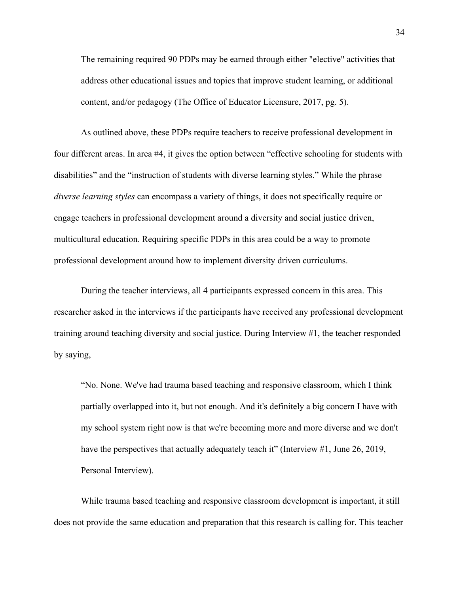The remaining required 90 PDPs may be earned through either "elective" activities that address other educational issues and topics that improve student learning, or additional content, and/or pedagogy (The Office of Educator Licensure, 2017, pg. 5).

As outlined above, these PDPs require teachers to receive professional development in four different areas. In area #4, it gives the option between "effective schooling for students with disabilities" and the "instruction of students with diverse learning styles." While the phrase *diverse learning styles* can encompass a variety of things, it does not specifically require or engage teachers in professional development around a diversity and social justice driven, multicultural education. Requiring specific PDPs in this area could be a way to promote professional development around how to implement diversity driven curriculums.

During the teacher interviews, all 4 participants expressed concern in this area. This researcher asked in the interviews if the participants have received any professional development training around teaching diversity and social justice. During Interview #1, the teacher responded by saying,

"No. None. We've had trauma based teaching and responsive classroom, which I think partially overlapped into it, but not enough. And it's definitely a big concern I have with my school system right now is that we're becoming more and more diverse and we don't have the perspectives that actually adequately teach it" (Interview #1, June 26, 2019, Personal Interview).

While trauma based teaching and responsive classroom development is important, it still does not provide the same education and preparation that this research is calling for. This teacher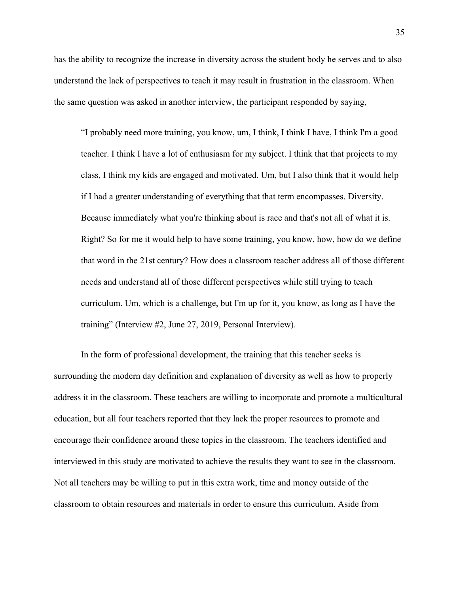has the ability to recognize the increase in diversity across the student body he serves and to also understand the lack of perspectives to teach it may result in frustration in the classroom. When the same question was asked in another interview, the participant responded by saying,

"I probably need more training, you know, um, I think, I think I have, I think I'm a good teacher. I think I have a lot of enthusiasm for my subject. I think that that projects to my class, I think my kids are engaged and motivated. Um, but I also think that it would help if I had a greater understanding of everything that that term encompasses. Diversity. Because immediately what you're thinking about is race and that's not all of what it is. Right? So for me it would help to have some training, you know, how, how do we define that word in the 21st century? How does a classroom teacher address all of those different needs and understand all of those different perspectives while still trying to teach curriculum. Um, which is a challenge, but I'm up for it, you know, as long as I have the training" (Interview #2, June 27, 2019, Personal Interview).

In the form of professional development, the training that this teacher seeks is surrounding the modern day definition and explanation of diversity as well as how to properly address it in the classroom. These teachers are willing to incorporate and promote a multicultural education, but all four teachers reported that they lack the proper resources to promote and encourage their confidence around these topics in the classroom. The teachers identified and interviewed in this study are motivated to achieve the results they want to see in the classroom. Not all teachers may be willing to put in this extra work, time and money outside of the classroom to obtain resources and materials in order to ensure this curriculum. Aside from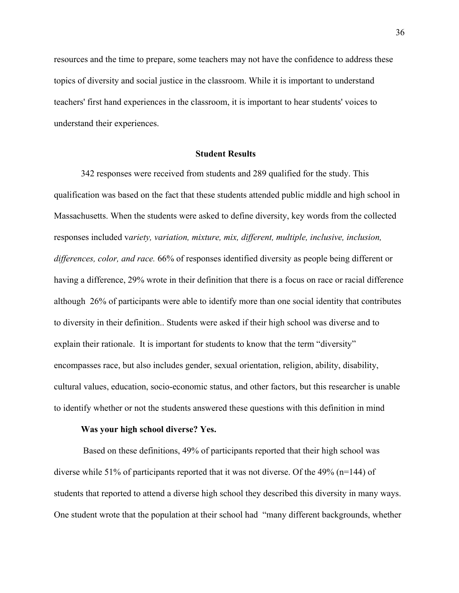resources and the time to prepare, some teachers may not have the confidence to address these topics of diversity and social justice in the classroom. While it is important to understand teachers' first hand experiences in the classroom, it is important to hear students' voices to understand their experiences.

#### **Student Results**

342 responses were received from students and 289 qualified for the study. This qualification was based on the fact that these students attended public middle and high school in Massachusetts. When the students were asked to define diversity, key words from the collected responses included v*ariety, variation, mixture, mix, different, multiple, inclusive, inclusion, differences, color, and race.* 66% of responses identified diversity as people being different or having a difference, 29% wrote in their definition that there is a focus on race or racial difference although 26% of participants were able to identify more than one social identity that contributes to diversity in their definition.. Students were asked if their high school was diverse and to explain their rationale. It is important for students to know that the term "diversity" encompasses race, but also includes gender, sexual orientation, religion, ability, disability, cultural values, education, socio-economic status, and other factors, but this researcher is unable to identify whether or not the students answered these questions with this definition in mind

#### **Was your high school diverse? Yes.**

 Based on these definitions, 49% of participants reported that their high school was diverse while 51% of participants reported that it was not diverse. Of the 49% ( $n=144$ ) of students that reported to attend a diverse high school they described this diversity in many ways. One student wrote that the population at their school had "many different backgrounds, whether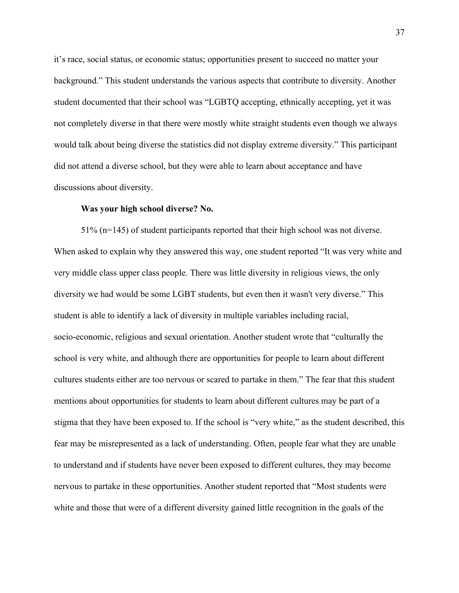it's race, social status, or economic status; opportunities present to succeed no matter your background." This student understands the various aspects that contribute to diversity. Another student documented that their school was "LGBTQ accepting, ethnically accepting, yet it was not completely diverse in that there were mostly white straight students even though we always would talk about being diverse the statistics did not display extreme diversity." This participant did not attend a diverse school, but they were able to learn about acceptance and have discussions about diversity.

#### **Was your high school diverse? No.**

51% (n=145) of student participants reported that their high school was not diverse. When asked to explain why they answered this way, one student reported "It was very white and very middle class upper class people. There was little diversity in religious views, the only diversity we had would be some LGBT students, but even then it wasn't very diverse." This student is able to identify a lack of diversity in multiple variables including racial, socio-economic, religious and sexual orientation. Another student wrote that "culturally the school is very white, and although there are opportunities for people to learn about different cultures students either are too nervous or scared to partake in them." The fear that this student mentions about opportunities for students to learn about different cultures may be part of a stigma that they have been exposed to. If the school is "very white," as the student described, this fear may be misrepresented as a lack of understanding. Often, people fear what they are unable to understand and if students have never been exposed to different cultures, they may become nervous to partake in these opportunities. Another student reported that "Most students were white and those that were of a different diversity gained little recognition in the goals of the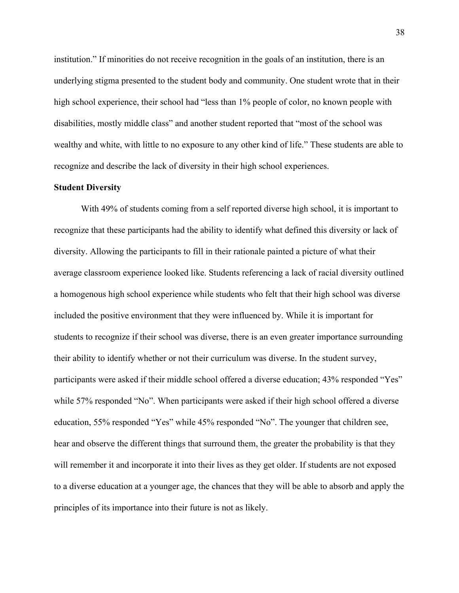institution." If minorities do not receive recognition in the goals of an institution, there is an underlying stigma presented to the student body and community. One student wrote that in their high school experience, their school had "less than 1% people of color, no known people with disabilities, mostly middle class" and another student reported that "most of the school was wealthy and white, with little to no exposure to any other kind of life." These students are able to recognize and describe the lack of diversity in their high school experiences.

#### **Student Diversity**

With 49% of students coming from a self reported diverse high school, it is important to recognize that these participants had the ability to identify what defined this diversity or lack of diversity. Allowing the participants to fill in their rationale painted a picture of what their average classroom experience looked like. Students referencing a lack of racial diversity outlined a homogenous high school experience while students who felt that their high school was diverse included the positive environment that they were influenced by. While it is important for students to recognize if their school was diverse, there is an even greater importance surrounding their ability to identify whether or not their curriculum was diverse. In the student survey, participants were asked if their middle school offered a diverse education; 43% responded "Yes" while 57% responded "No". When participants were asked if their high school offered a diverse education, 55% responded "Yes" while 45% responded "No". The younger that children see, hear and observe the different things that surround them, the greater the probability is that they will remember it and incorporate it into their lives as they get older. If students are not exposed to a diverse education at a younger age, the chances that they will be able to absorb and apply the principles of its importance into their future is not as likely.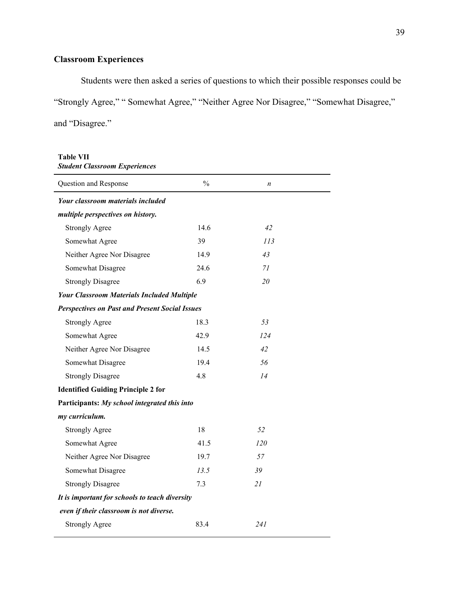# **Classroom Experiences**

Students were then asked a series of questions to which their possible responses could be "Strongly Agree," " Somewhat Agree," "Neither Agree Nor Disagree," "Somewhat Disagree," and "Disagree."

#### **Table VII** *Student Classroom Experiences*

| Question and Response                                 | $\frac{0}{0}$ | $\boldsymbol{n}$ |  |
|-------------------------------------------------------|---------------|------------------|--|
| <b>Your classroom materials included</b>              |               |                  |  |
| multiple perspectives on history.                     |               |                  |  |
| <b>Strongly Agree</b>                                 | 14.6          | 42               |  |
| Somewhat Agree                                        | 39            | 113              |  |
| Neither Agree Nor Disagree                            | 14.9          | 43               |  |
| Somewhat Disagree                                     | 24.6          | 71               |  |
| <b>Strongly Disagree</b>                              | 6.9           | 20               |  |
| <b>Your Classroom Materials Included Multiple</b>     |               |                  |  |
| <b>Perspectives on Past and Present Social Issues</b> |               |                  |  |
| <b>Strongly Agree</b>                                 | 18.3          | 53               |  |
| Somewhat Agree                                        | 42.9          | 124              |  |
| Neither Agree Nor Disagree                            | 14.5          | 42               |  |
| Somewhat Disagree                                     | 19.4          | 56               |  |
| <b>Strongly Disagree</b>                              | 4.8           | 14               |  |
| <b>Identified Guiding Principle 2 for</b>             |               |                  |  |
| Participants: My school integrated this into          |               |                  |  |
| my curriculum.                                        |               |                  |  |
| <b>Strongly Agree</b>                                 | 18            | 52               |  |
| Somewhat Agree                                        | 41.5          | 120              |  |
| Neither Agree Nor Disagree                            | 19.7          | 57               |  |
| Somewhat Disagree                                     | 13.5          | 39               |  |
| <b>Strongly Disagree</b>                              | 7.3           | 21               |  |
| It is important for schools to teach diversity        |               |                  |  |
| even if their classroom is not diverse.               |               |                  |  |
| <b>Strongly Agree</b>                                 | 83.4          | 241              |  |
|                                                       |               |                  |  |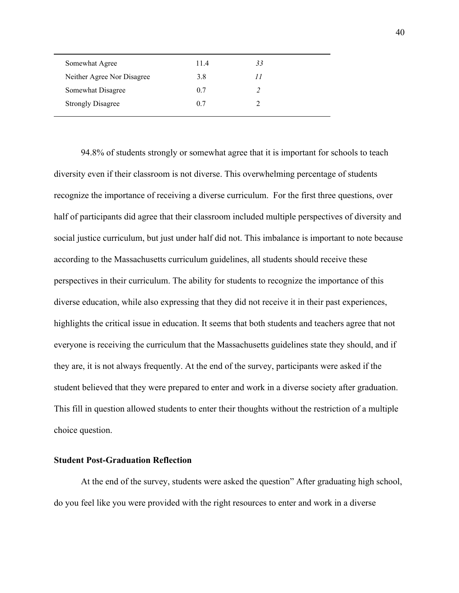| Somewhat Agree             | 114 | 33 |  |
|----------------------------|-----|----|--|
| Neither Agree Nor Disagree | 3.8 |    |  |
| Somewhat Disagree          | 0.7 |    |  |
| <b>Strongly Disagree</b>   | 0.7 |    |  |
|                            |     |    |  |

94.8% of students strongly or somewhat agree that it is important for schools to teach diversity even if their classroom is not diverse. This overwhelming percentage of students recognize the importance of receiving a diverse curriculum. For the first three questions, over half of participants did agree that their classroom included multiple perspectives of diversity and social justice curriculum, but just under half did not. This imbalance is important to note because according to the Massachusetts curriculum guidelines, all students should receive these perspectives in their curriculum. The ability for students to recognize the importance of this diverse education, while also expressing that they did not receive it in their past experiences, highlights the critical issue in education. It seems that both students and teachers agree that not everyone is receiving the curriculum that the Massachusetts guidelines state they should, and if they are, it is not always frequently. At the end of the survey, participants were asked if the student believed that they were prepared to enter and work in a diverse society after graduation. This fill in question allowed students to enter their thoughts without the restriction of a multiple choice question.

#### **Student Post-Graduation Reflection**

At the end of the survey, students were asked the question" After graduating high school, do you feel like you were provided with the right resources to enter and work in a diverse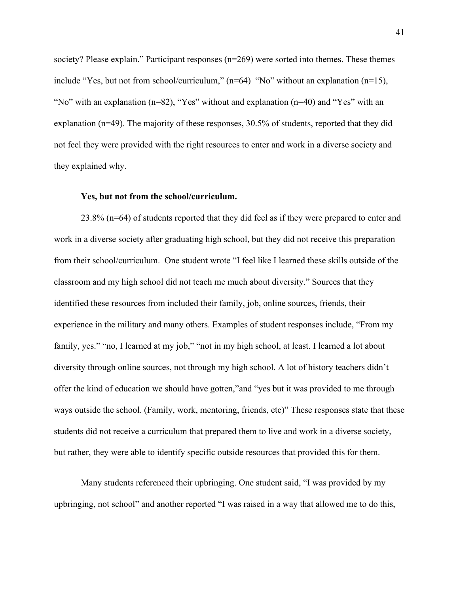society? Please explain." Participant responses (n=269) were sorted into themes. These themes include "Yes, but not from school/curriculum," (n=64) "No" without an explanation (n=15), "No" with an explanation (n=82), "Yes" without and explanation (n=40) and "Yes" with an explanation (n=49). The majority of these responses, 30.5% of students, reported that they did not feel they were provided with the right resources to enter and work in a diverse society and they explained why.

#### **Yes, but not from the school/curriculum.**

23.8% (n=64) of students reported that they did feel as if they were prepared to enter and work in a diverse society after graduating high school, but they did not receive this preparation from their school/curriculum. One student wrote "I feel like I learned these skills outside of the classroom and my high school did not teach me much about diversity." Sources that they identified these resources from included their family, job, online sources, friends, their experience in the military and many others. Examples of student responses include, "From my family, yes." "no, I learned at my job," "not in my high school, at least. I learned a lot about diversity through online sources, not through my high school. A lot of history teachers didn't offer the kind of education we should have gotten,"and "yes but it was provided to me through ways outside the school. (Family, work, mentoring, friends, etc)" These responses state that these students did not receive a curriculum that prepared them to live and work in a diverse society, but rather, they were able to identify specific outside resources that provided this for them.

Many students referenced their upbringing. One student said, "I was provided by my upbringing, not school" and another reported "I was raised in a way that allowed me to do this,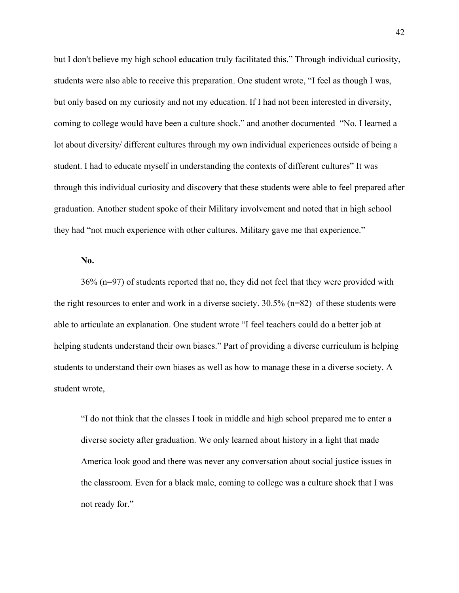but I don't believe my high school education truly facilitated this." Through individual curiosity, students were also able to receive this preparation. One student wrote, "I feel as though I was, but only based on my curiosity and not my education. If I had not been interested in diversity, coming to college would have been a culture shock." and another documented "No. I learned a lot about diversity/ different cultures through my own individual experiences outside of being a student. I had to educate myself in understanding the contexts of different cultures" It was through this individual curiosity and discovery that these students were able to feel prepared after graduation. Another student spoke of their Military involvement and noted that in high school they had "not much experience with other cultures. Military gave me that experience."

#### **No.**

36% (n=97) of students reported that no, they did not feel that they were provided with the right resources to enter and work in a diverse society. 30.5% (n=82) of these students were able to articulate an explanation. One student wrote "I feel teachers could do a better job at helping students understand their own biases." Part of providing a diverse curriculum is helping students to understand their own biases as well as how to manage these in a diverse society. A student wrote,

"I do not think that the classes I took in middle and high school prepared me to enter a diverse society after graduation. We only learned about history in a light that made America look good and there was never any conversation about social justice issues in the classroom. Even for a black male, coming to college was a culture shock that I was not ready for."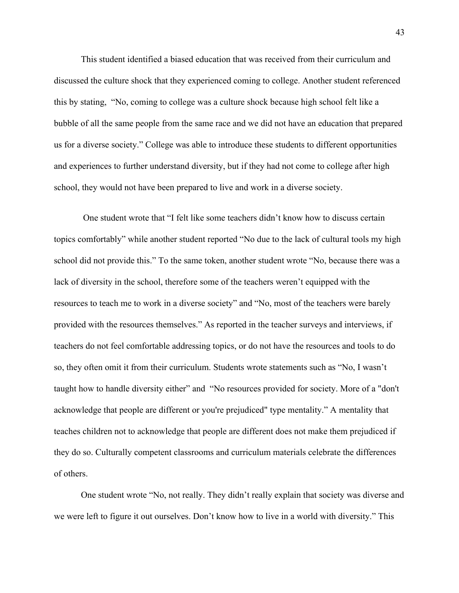This student identified a biased education that was received from their curriculum and discussed the culture shock that they experienced coming to college. Another student referenced this by stating, "No, coming to college was a culture shock because high school felt like a bubble of all the same people from the same race and we did not have an education that prepared us for a diverse society." College was able to introduce these students to different opportunities and experiences to further understand diversity, but if they had not come to college after high school, they would not have been prepared to live and work in a diverse society.

 One student wrote that "I felt like some teachers didn't know how to discuss certain topics comfortably" while another student reported "No due to the lack of cultural tools my high school did not provide this." To the same token, another student wrote "No, because there was a lack of diversity in the school, therefore some of the teachers weren't equipped with the resources to teach me to work in a diverse society" and "No, most of the teachers were barely provided with the resources themselves." As reported in the teacher surveys and interviews, if teachers do not feel comfortable addressing topics, or do not have the resources and tools to do so, they often omit it from their curriculum. Students wrote statements such as "No, I wasn't taught how to handle diversity either" and "No resources provided for society. More of a "don't acknowledge that people are different or you're prejudiced" type mentality." A mentality that teaches children not to acknowledge that people are different does not make them prejudiced if they do so. Culturally competent classrooms and curriculum materials celebrate the differences of others.

One student wrote "No, not really. They didn't really explain that society was diverse and we were left to figure it out ourselves. Don't know how to live in a world with diversity." This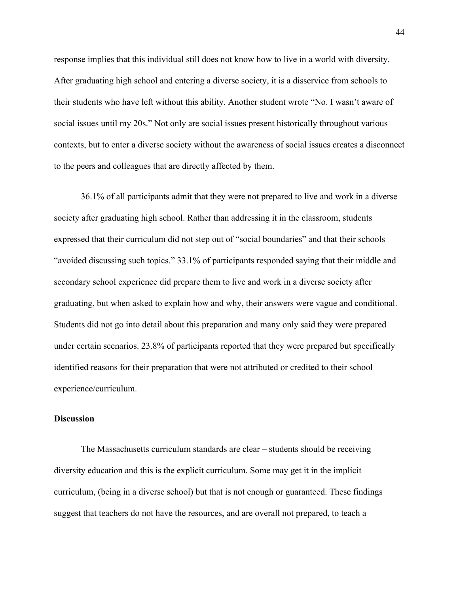response implies that this individual still does not know how to live in a world with diversity. After graduating high school and entering a diverse society, it is a disservice from schools to their students who have left without this ability. Another student wrote "No. I wasn't aware of social issues until my 20s." Not only are social issues present historically throughout various contexts, but to enter a diverse society without the awareness of social issues creates a disconnect to the peers and colleagues that are directly affected by them.

36.1% of all participants admit that they were not prepared to live and work in a diverse society after graduating high school. Rather than addressing it in the classroom, students expressed that their curriculum did not step out of "social boundaries" and that their schools "avoided discussing such topics." 33.1% of participants responded saying that their middle and secondary school experience did prepare them to live and work in a diverse society after graduating, but when asked to explain how and why, their answers were vague and conditional. Students did not go into detail about this preparation and many only said they were prepared under certain scenarios. 23.8% of participants reported that they were prepared but specifically identified reasons for their preparation that were not attributed or credited to their school experience/curriculum.

#### **Discussion**

The Massachusetts curriculum standards are clear – students should be receiving diversity education and this is the explicit curriculum. Some may get it in the implicit curriculum, (being in a diverse school) but that is not enough or guaranteed. These findings suggest that teachers do not have the resources, and are overall not prepared, to teach a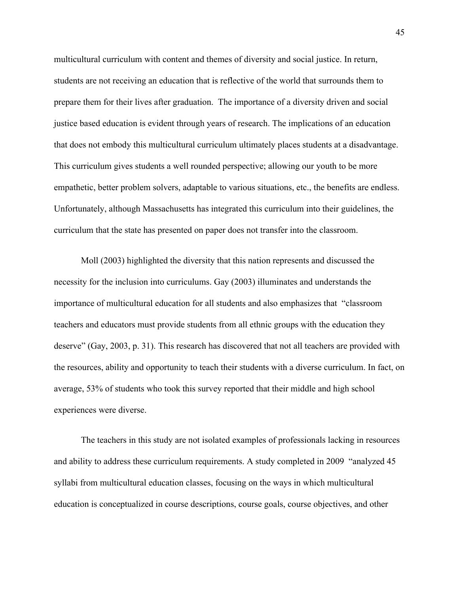multicultural curriculum with content and themes of diversity and social justice. In return, students are not receiving an education that is reflective of the world that surrounds them to prepare them for their lives after graduation. The importance of a diversity driven and social justice based education is evident through years of research. The implications of an education that does not embody this multicultural curriculum ultimately places students at a disadvantage. This curriculum gives students a well rounded perspective; allowing our youth to be more empathetic, better problem solvers, adaptable to various situations, etc., the benefits are endless. Unfortunately, although Massachusetts has integrated this curriculum into their guidelines, the curriculum that the state has presented on paper does not transfer into the classroom.

Moll (2003) highlighted the diversity that this nation represents and discussed the necessity for the inclusion into curriculums. Gay (2003) illuminates and understands the importance of multicultural education for all students and also emphasizes that "classroom teachers and educators must provide students from all ethnic groups with the education they deserve" (Gay, 2003, p. 31). This research has discovered that not all teachers are provided with the resources, ability and opportunity to teach their students with a diverse curriculum. In fact, on average, 53% of students who took this survey reported that their middle and high school experiences were diverse.

The teachers in this study are not isolated examples of professionals lacking in resources and ability to address these curriculum requirements. A study completed in 2009 "analyzed 45 syllabi from multicultural education classes, focusing on the ways in which multicultural education is conceptualized in course descriptions, course goals, course objectives, and other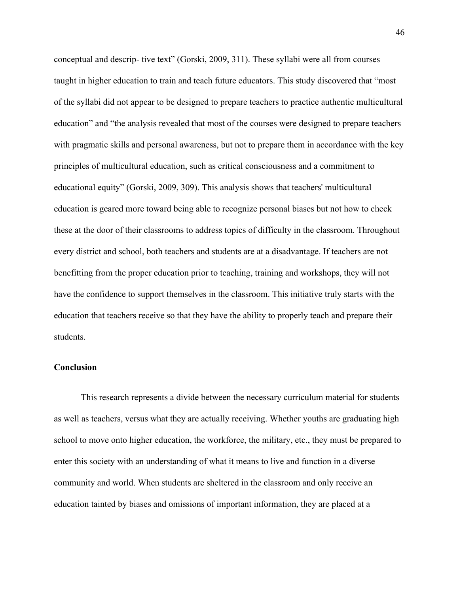conceptual and descrip- tive text" (Gorski, 2009, 311). These syllabi were all from courses taught in higher education to train and teach future educators. This study discovered that "most of the syllabi did not appear to be designed to prepare teachers to practice authentic multicultural education" and "the analysis revealed that most of the courses were designed to prepare teachers with pragmatic skills and personal awareness, but not to prepare them in accordance with the key principles of multicultural education, such as critical consciousness and a commitment to educational equity" (Gorski, 2009, 309). This analysis shows that teachers' multicultural education is geared more toward being able to recognize personal biases but not how to check these at the door of their classrooms to address topics of difficulty in the classroom. Throughout every district and school, both teachers and students are at a disadvantage. If teachers are not benefitting from the proper education prior to teaching, training and workshops, they will not have the confidence to support themselves in the classroom. This initiative truly starts with the education that teachers receive so that they have the ability to properly teach and prepare their students.

#### **Conclusion**

This research represents a divide between the necessary curriculum material for students as well as teachers, versus what they are actually receiving. Whether youths are graduating high school to move onto higher education, the workforce, the military, etc., they must be prepared to enter this society with an understanding of what it means to live and function in a diverse community and world. When students are sheltered in the classroom and only receive an education tainted by biases and omissions of important information, they are placed at a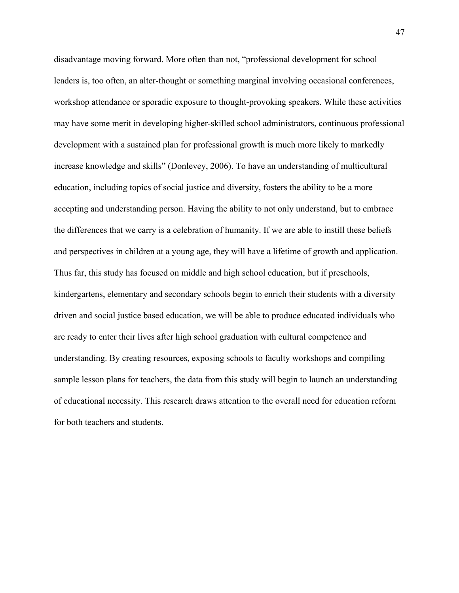disadvantage moving forward. More often than not, "professional development for school leaders is, too often, an alter-thought or something marginal involving occasional conferences, workshop attendance or sporadic exposure to thought-provoking speakers. While these activities may have some merit in developing higher-skilled school administrators, continuous professional development with a sustained plan for professional growth is much more likely to markedly increase knowledge and skills" (Donlevey, 2006). To have an understanding of multicultural education, including topics of social justice and diversity, fosters the ability to be a more accepting and understanding person. Having the ability to not only understand, but to embrace the differences that we carry is a celebration of humanity. If we are able to instill these beliefs and perspectives in children at a young age, they will have a lifetime of growth and application. Thus far, this study has focused on middle and high school education, but if preschools, kindergartens, elementary and secondary schools begin to enrich their students with a diversity driven and social justice based education, we will be able to produce educated individuals who are ready to enter their lives after high school graduation with cultural competence and understanding. By creating resources, exposing schools to faculty workshops and compiling sample lesson plans for teachers, the data from this study will begin to launch an understanding of educational necessity. This research draws attention to the overall need for education reform for both teachers and students.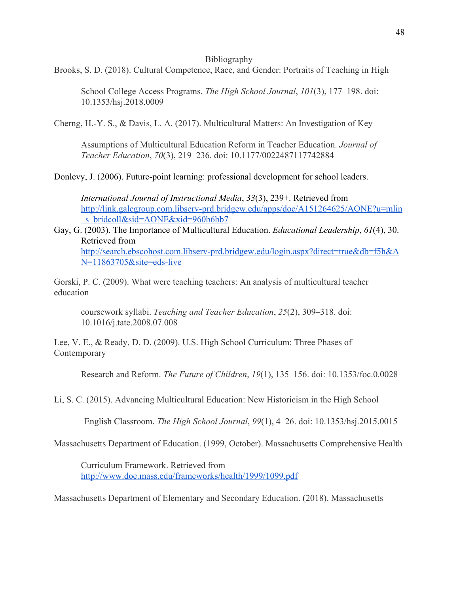#### Bibliography

Brooks, S. D. (2018). Cultural Competence, Race, and Gender: Portraits of Teaching in High

School College Access Programs. *The High School Journal*, *101*(3), 177–198. doi: 10.1353/hsj.2018.0009

Cherng, H.-Y. S., & Davis, L. A. (2017). Multicultural Matters: An Investigation of Key

Assumptions of Multicultural Education Reform in Teacher Education. *Journal of Teacher Education*, *70*(3), 219–236. doi: 10.1177/0022487117742884

Donlevy, J. (2006). Future-point learning: professional development for school leaders.

*International Journal of Instructional Media*, *33*(3), 239+. Retrieved from [http://link.galegroup.com.libserv-prd.bridgew.edu/apps/doc/A151264625/AONE?u=mlin](http://link.galegroup.com.libserv-prd.bridgew.edu/apps/doc/A151264625/AONE?u=mlin_s_bridcoll&sid=AONE&xid=960b6bb7) s\_bridcoll&sid=AONE&xid=960b6bb7

### Gay, G. (2003). The Importance of Multicultural Education. *Educational Leadership*, *61*(4), 30. Retrieved from [http://search.ebscohost.com.libserv-prd.bridgew.edu/login.aspx?direct=true&db=f5h&A](http://search.ebscohost.com.libserv-prd.bridgew.edu/login.aspx?direct=true&db=f5h&AN=11863705&site=eds-live)

[N=11863705&site=eds-live](http://search.ebscohost.com.libserv-prd.bridgew.edu/login.aspx?direct=true&db=f5h&AN=11863705&site=eds-live)

Gorski, P. C. (2009). What were teaching teachers: An analysis of multicultural teacher education

coursework syllabi. *Teaching and Teacher Education*, *25*(2), 309–318. doi: 10.1016/j.tate.2008.07.008

Lee, V. E., & Ready, D. D. (2009). U.S. High School Curriculum: Three Phases of Contemporary

Research and Reform. *The Future of Children*, *19*(1), 135–156. doi: 10.1353/foc.0.0028

Li, S. C. (2015). Advancing Multicultural Education: New Historicism in the High School

English Classroom. *The High School Journal*, *99*(1), 4–26. doi: 10.1353/hsj.2015.0015

Massachusetts Department of Education. (1999, October). Massachusetts Comprehensive Health

Curriculum Framework. Retrieved from <http://www.doe.mass.edu/frameworks/health/1999/1099.pdf>

Massachusetts Department of Elementary and Secondary Education. (2018). Massachusetts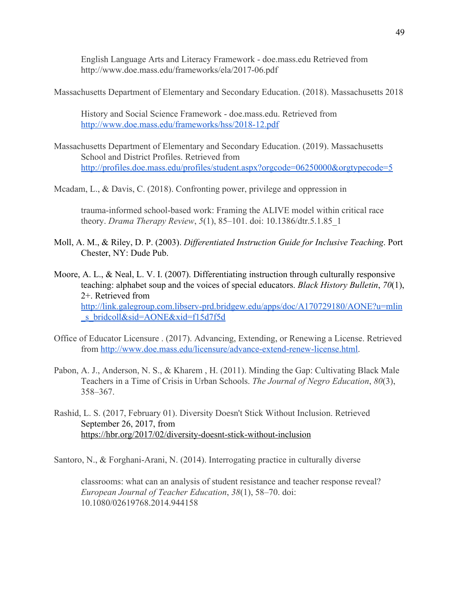English Language Arts and Literacy Framework - doe.mass.edu Retrieved from http://www.doe.mass.edu/frameworks/ela/2017-06.pdf

Massachusetts Department of Elementary and Secondary Education. (2018). Massachusetts 2018

History and Social Science Framework - doe.mass.edu. Retrieved from <http://www.doe.mass.edu/frameworks/hss/2018-12.pdf>

- Massachusetts Department of Elementary and Secondary Education. (2019). Massachusetts School and District Profiles. Retrieved from <http://profiles.doe.mass.edu/profiles/student.aspx?orgcode=06250000&orgtypecode=5>
- Mcadam, L., & Davis, C. (2018). Confronting power, privilege and oppression in

trauma-informed school-based work: Framing the ALIVE model within critical race theory. *Drama Therapy Review*, *5*(1), 85–101. doi: 10.1386/dtr.5.1.85\_1

- Moll, A. M., & Riley, D. P. (2003). *Differentiated Instruction Guide for Inclusive Teaching*. Port Chester, NY: Dude Pub.
- Moore, A. L., & Neal, L. V. I. (2007). Differentiating instruction through culturally responsive teaching: alphabet soup and the voices of special educators. *Black History Bulletin*, *70*(1), 2+. Retrieved from [http://link.galegroup.com.libserv-prd.bridgew.edu/apps/doc/A170729180/AONE?u=mlin](http://link.galegroup.com.libserv-prd.bridgew.edu/apps/doc/A170729180/AONE?u=mlin_s_bridcoll&sid=AONE&xid=f15d7f5d) [\\_s\\_bridcoll&sid=AONE&xid=f15d7f5d](http://link.galegroup.com.libserv-prd.bridgew.edu/apps/doc/A170729180/AONE?u=mlin_s_bridcoll&sid=AONE&xid=f15d7f5d)
- Office of Educator Licensure . (2017). Advancing, Extending, or Renewing a License. Retrieved from [http://www.doe.mass.edu/licensure/advance-extend-renew-license.html.](http://www.doe.mass.edu/licensure/advance-extend-renew-license.html)
- Pabon, A. J., Anderson, N. S., & Kharem , H. (2011). Minding the Gap: Cultivating Black Male Teachers in a Time of Crisis in Urban Schools. *The Journal of Negro Education*, *80*(3), 358–367.
- Rashid, L. S. (2017, February 01). Diversity Doesn't Stick Without Inclusion. Retrieved September 26, 2017, from <https://hbr.org/2017/02/diversity-doesnt-stick-without-inclusion>

Santoro, N., & Forghani-Arani, N. (2014). Interrogating practice in culturally diverse

classrooms: what can an analysis of student resistance and teacher response reveal? *European Journal of Teacher Education*, *38*(1), 58–70. doi: 10.1080/02619768.2014.944158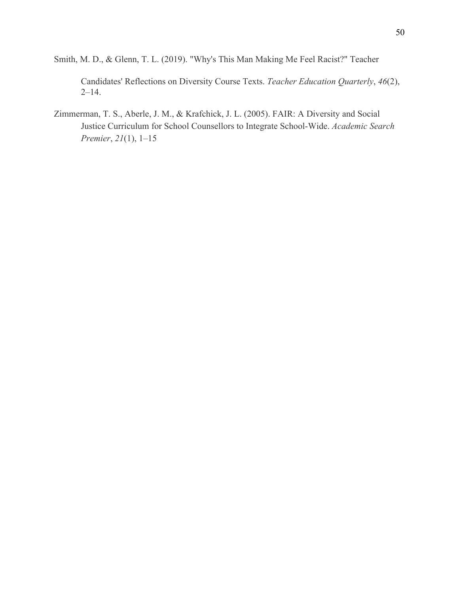Smith, M. D., & Glenn, T. L. (2019). "Why's This Man Making Me Feel Racist?" Teacher

Candidates' Reflections on Diversity Course Texts. *Teacher Education Quarterly*, *46*(2),  $2 - 14.$ 

Zimmerman, T. S., Aberle, J. M., & Krafchick, J. L. (2005). FAIR: A Diversity and Social Justice Curriculum for School Counsellors to Integrate School-Wide. *Academic Search Premier*, *21*(1), 1–15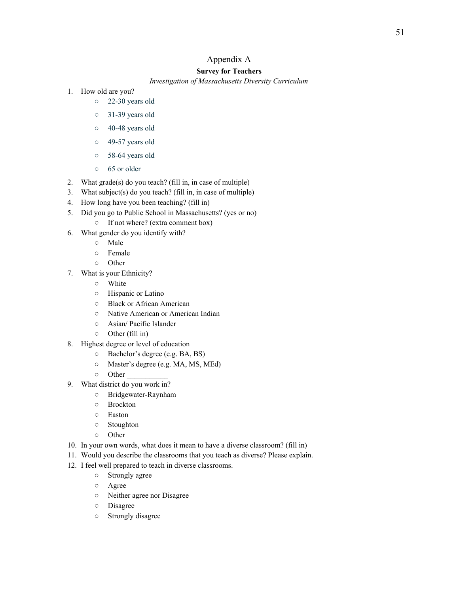# Appendix A

#### **Survey for Teachers**

#### *Investigation of Massachusetts Diversity Curriculum*

- 1. How old are you?
	- 22-30 years old
	- 31-39 years old
	- 40-48 years old
	- 49-57 years old
	- 58-64 years old
	- 65 or older
- 2. What grade(s) do you teach? (fill in, in case of multiple)
- 3. What subject(s) do you teach? (fill in, in case of multiple)
- 4. How long have you been teaching? (fill in)
- 5. Did you go to Public School in Massachusetts? (yes or no)
	- If not where? (extra comment box)
- 6. What gender do you identify with?
	- Male
	- Female
	- Other
- 7. What is your Ethnicity?
	- White
	- Hispanic or Latino
	- Black or African American
	- Native American or American Indian
	- Asian/ Pacific Islander
	- Other (fill in)
- 8. Highest degree or level of education
	- Bachelor's degree (e.g. BA, BS)
	- Master's degree (e.g. MA, MS, MEd)
	- Other \_\_\_\_\_\_\_\_\_\_\_
- 9. What district do you work in?
	- Bridgewater-Raynham
	- Brockton
	- Easton
	- Stoughton
	- Other
- 10. In your own words, what does it mean to have a diverse classroom? (fill in)
- 11. Would you describe the classrooms that you teach as diverse? Please explain.
- 12. I feel well prepared to teach in diverse classrooms.
	- Strongly agree
	- Agree
	- Neither agree nor Disagree
	- Disagree
	- Strongly disagree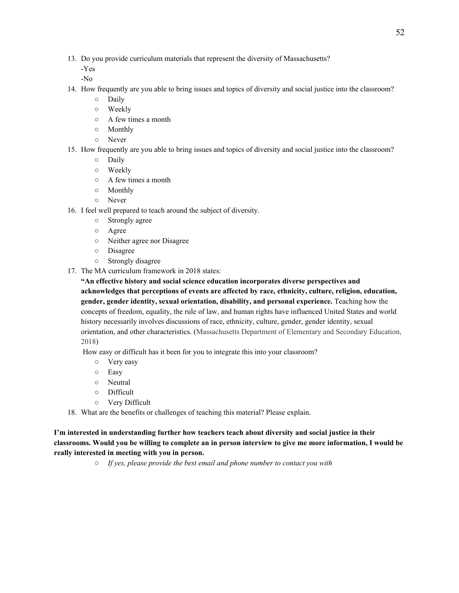13. Do you provide curriculum materials that represent the diversity of Massachusetts?

-Yes

-No

- 14. How frequently are you able to bring issues and topics of diversity and social justice into the classroom?
	- Daily
	- Weekly
	- A few times a month
	- Monthly
	- Never
- 15. How frequently are you able to bring issues and topics of diversity and social justice into the classroom?
	- Daily
	- Weekly
	- A few times a month
	- Monthly
	- Never
- 16. I feel well prepared to teach around the subject of diversity.
	- Strongly agree
	- Agree
	- Neither agree nor Disagree
	- Disagree
	- Strongly disagree
- 17. The MA curriculum framework in 2018 states:

**"An effective history and social science education incorporates diverse perspectives and acknowledges that perceptions of events are affected by race, ethnicity, culture, religion, education, gender, gender identity, sexual orientation, disability, and personal experience.** Teaching how the concepts of freedom, equality, the rule of law, and human rights have influenced United States and world history necessarily involves discussions of race, ethnicity, culture, gender, gender identity, sexual orientation, and other characteristics. (Massachusetts Department of Elementary and Secondary Education, 2018)

How easy or difficult has it been for you to integrate this into your classroom?

- Very easy
- Easy
- Neutral
- Difficult
- Very Difficult
- 18. What are the benefits or challenges of teaching this material? Please explain.

**I'm interested in understanding further how teachers teach about diversity and social justice in their** classrooms. Would you be willing to complete an in person interview to give me more information, I would be **really interested in meeting with you in person.**

*○ If yes, please provide the best email and phone number to contact you with*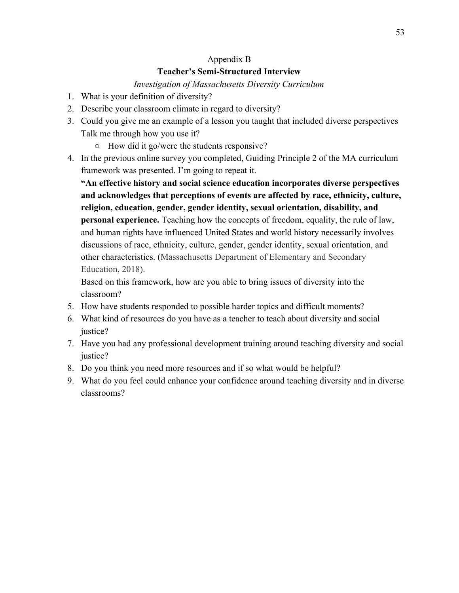# Appendix B

# **Teacher's Semi-Structured Interview**

# *Investigation of Massachusetts Diversity Curriculum*

- 1. What is your definition of diversity?
- 2. Describe your classroom climate in regard to diversity?
- 3. Could you give me an example of a lesson you taught that included diverse perspectives Talk me through how you use it?
	- How did it go/were the students responsive?
- 4. In the previous online survey you completed, Guiding Principle 2 of the MA curriculum framework was presented. I'm going to repeat it.

**"An effective history and social science education incorporates diverse perspectives and acknowledges that perceptions of events are affected by race, ethnicity, culture, religion, education, gender, gender identity, sexual orientation, disability, and personal experience.** Teaching how the concepts of freedom, equality, the rule of law, and human rights have influenced United States and world history necessarily involves discussions of race, ethnicity, culture, gender, gender identity, sexual orientation, and other characteristics. (Massachusetts Department of Elementary and Secondary Education, 2018).

Based on this framework, how are you able to bring issues of diversity into the classroom?

- 5. How have students responded to possible harder topics and difficult moments?
- 6. What kind of resources do you have as a teacher to teach about diversity and social justice?
- 7. Have you had any professional development training around teaching diversity and social justice?
- 8. Do you think you need more resources and if so what would be helpful?
- 9. What do you feel could enhance your confidence around teaching diversity and in diverse classrooms?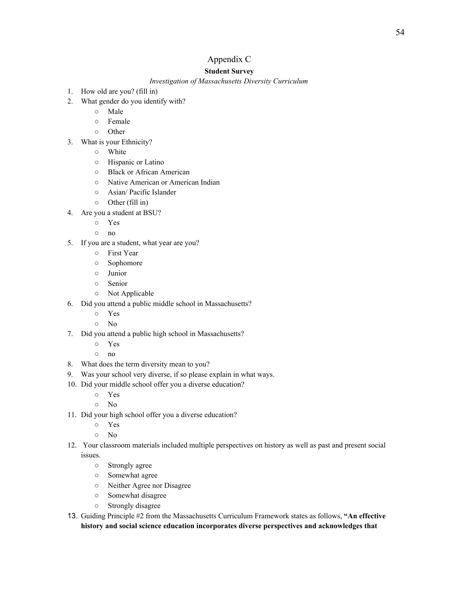# Appendix C

#### **Student Survey**

*Investigation of Massachusetts Diversity Curriculum*

- 1. How old are you? (fill in)
- 2. What gender do you identify with?
	- Male
	- Female
	- Other
- 3. What is your Ethnicity?
	- White
	- Hispanic or Latino
	- Black or African American
	- Native American or American Indian
	- Asian/ Pacific Islander
	- Other (fill in)
- 4. Are you a student at BSU?
	- Yes
	- no
- 5. If you are a student, what year are you?
	- First Year
	- Sophomore
	- Junior
	- Senior
	- Not Applicable
- 6. Did you attend a public middle school in Massachusetts?
	- Yes
	- No
- 7. Did you attend a public high school in Massachusetts?
	- Yes
	- no
- 8. What does the term diversity mean to you?
- 9. Was your school very diverse, if so please explain in what ways.
- 10. Did your middle school offer you a diverse education?
	- Yes
	- No
- 11. Did your high school offer you a diverse education?
	- Yes
	- No
- 12. Your classroom materials included multiple perspectives on history as well as past and present social issues.
	- Strongly agree
	- Somewhat agree
	- Neither Agree nor Disagree
	- Somewhat disagree
	- Strongly disagree
- 13. Guiding Principle #2 from the Massachusetts Curriculum Framework states as follows, **"An effective history and social science education incorporates diverse perspectives and acknowledges that**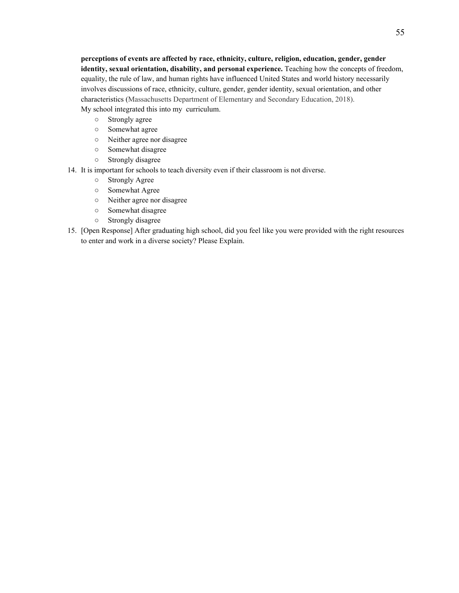**perceptions of events are affected by race, ethnicity, culture, religion, education, gender, gender identity, sexual orientation, disability, and personal experience.** Teaching how the concepts of freedom, equality, the rule of law, and human rights have influenced United States and world history necessarily involves discussions of race, ethnicity, culture, gender, gender identity, sexual orientation, and other characteristics (Massachusetts Department of Elementary and Secondary Education, 2018). My school integrated this into my curriculum.

- Strongly agree
- Somewhat agree
- Neither agree nor disagree
- Somewhat disagree
- Strongly disagree
- 14. It is important for schools to teach diversity even if their classroom is not diverse.
	- Strongly Agree
	- Somewhat Agree
	- Neither agree nor disagree
	- Somewhat disagree
	- Strongly disagree
- 15. [Open Response] After graduating high school, did you feel like you were provided with the right resources to enter and work in a diverse society? Please Explain.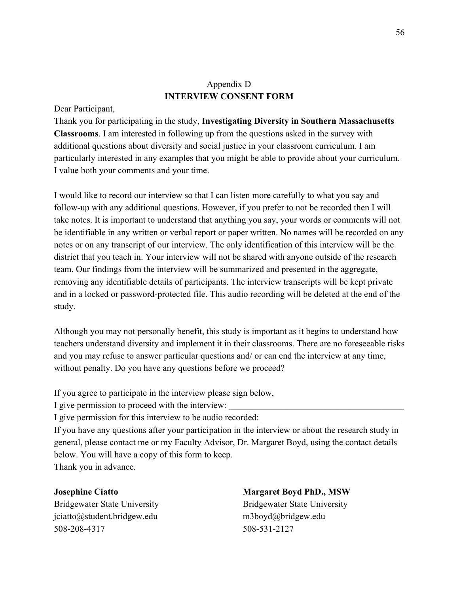# Appendix D **INTERVIEW CONSENT FORM**

#### Dear Participant,

Thank you for participating in the study, **Investigating Diversity in Southern Massachusetts Classrooms**. I am interested in following up from the questions asked in the survey with additional questions about diversity and social justice in your classroom curriculum. I am particularly interested in any examples that you might be able to provide about your curriculum. I value both your comments and your time.

I would like to record our interview so that I can listen more carefully to what you say and follow-up with any additional questions. However, if you prefer to not be recorded then I will take notes. It is important to understand that anything you say, your words or comments will not be identifiable in any written or verbal report or paper written. No names will be recorded on any notes or on any transcript of our interview. The only identification of this interview will be the district that you teach in. Your interview will not be shared with anyone outside of the research team. Our findings from the interview will be summarized and presented in the aggregate, removing any identifiable details of participants. The interview transcripts will be kept private and in a locked or password-protected file. This audio recording will be deleted at the end of the study.

Although you may not personally benefit, this study is important as it begins to understand how teachers understand diversity and implement it in their classrooms. There are no foreseeable risks and you may refuse to answer particular questions and/ or can end the interview at any time, without penalty. Do you have any questions before we proceed?

If you agree to participate in the interview please sign below,

I give permission to proceed with the interview:

I give permission for this interview to be audio recorded:

If you have any questions after your participation in the interview or about the research study in general, please contact me or my Faculty Advisor, Dr. Margaret Boyd, using the contact details below. You will have a copy of this form to keep.

Thank you in advance.

[jciatto@student.bridgew.edu](mailto:jciatto@student.bridgew.edu) m3boyd@bridgew.edu 508-208-4317 508-531-2127

### **Josephine Ciatto Margaret Boyd PhD., MSW**

Bridgewater State University Bridgewater State University